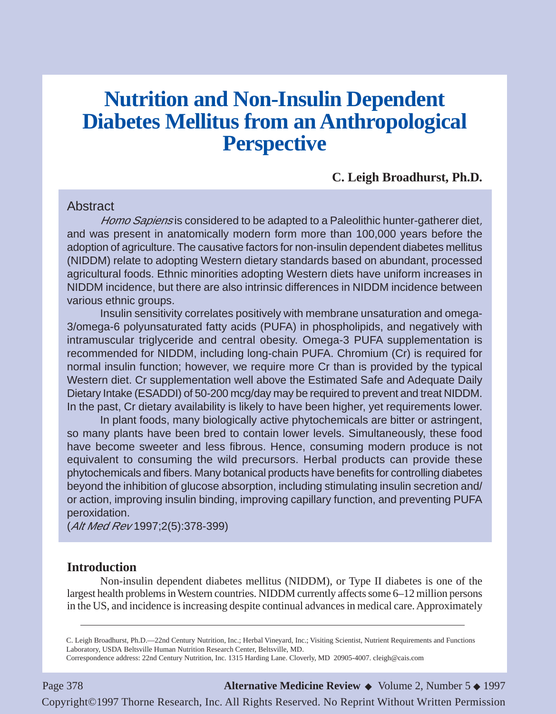# **Nutrition and Non-Insulin Dependent Diabetes Mellitus from an Anthropological Perspective**

# **C. Leigh Broadhurst, Ph.D.**

### **Abstract**

Homo Sapiens is considered to be adapted to a Paleolithic hunter-gatherer diet, and was present in anatomically modern form more than 100,000 years before the adoption of agriculture. The causative factors for non-insulin dependent diabetes mellitus (NIDDM) relate to adopting Western dietary standards based on abundant, processed agricultural foods. Ethnic minorities adopting Western diets have uniform increases in NIDDM incidence, but there are also intrinsic differences in NIDDM incidence between various ethnic groups.

Insulin sensitivity correlates positively with membrane unsaturation and omega-3/omega-6 polyunsaturated fatty acids (PUFA) in phospholipids, and negatively with intramuscular triglyceride and central obesity. Omega-3 PUFA supplementation is recommended for NIDDM, including long-chain PUFA. Chromium (Cr) is required for normal insulin function; however, we require more Cr than is provided by the typical Western diet. Cr supplementation well above the Estimated Safe and Adequate Daily Dietary Intake (ESADDI) of 50-200 mcg/day may be required to prevent and treat NIDDM. In the past, Cr dietary availability is likely to have been higher, yet requirements lower.

In plant foods, many biologically active phytochemicals are bitter or astringent, so many plants have been bred to contain lower levels. Simultaneously, these food have become sweeter and less fibrous. Hence, consuming modern produce is not equivalent to consuming the wild precursors. Herbal products can provide these phytochemicals and fibers. Many botanical products have benefits for controlling diabetes beyond the inhibition of glucose absorption, including stimulating insulin secretion and/ or action, improving insulin binding, improving capillary function, and preventing PUFA peroxidation.

(Alt Med Rev 1997;2(5):378-399)

#### **Introduction**

Non-insulin dependent diabetes mellitus (NIDDM), or Type II diabetes is one of the largest health problems in Western countries. NIDDM currently affects some 6–12 million persons in the US, and incidence is increasing despite continual advances in medical care. Approximately

C. Leigh Broadhurst, Ph.D.—22nd Century Nutrition, Inc.; Herbal Vineyard, Inc.; Visiting Scientist, Nutrient Requirements and Functions Laboratory, USDA Beltsville Human Nutrition Research Center, Beltsville, MD.

Correspondence address: 22nd Century Nutrition, Inc. 1315 Harding Lane. Cloverly, MD 20905-4007. cleigh@cais.com

Page 378 **Alternative Medicine Review** ◆ Volume 2, Number 5 ◆ 1997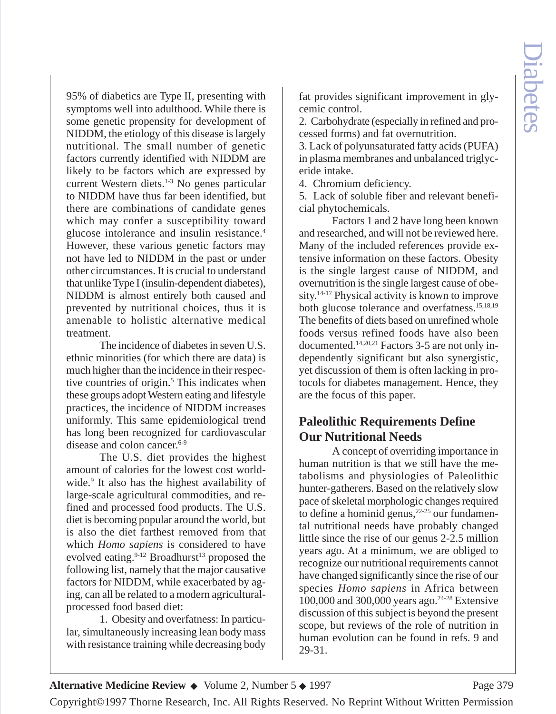95% of diabetics are Type II, presenting with symptoms well into adulthood. While there is some genetic propensity for development of NIDDM, the etiology of this disease is largely nutritional. The small number of genetic factors currently identified with NIDDM are likely to be factors which are expressed by current Western diets.1-3 No genes particular to NIDDM have thus far been identified, but there are combinations of candidate genes which may confer a susceptibility toward glucose intolerance and insulin resistance.<sup>4</sup> However, these various genetic factors may not have led to NIDDM in the past or under other circumstances. It is crucial to understand that unlike Type I (insulin-dependent diabetes), NIDDM is almost entirely both caused and prevented by nutritional choices, thus it is amenable to holistic alternative medical treatment.

The incidence of diabetes in seven U.S. ethnic minorities (for which there are data) is much higher than the incidence in their respective countries of origin.<sup>5</sup> This indicates when these groups adopt Western eating and lifestyle practices, the incidence of NIDDM increases uniformly. This same epidemiological trend has long been recognized for cardiovascular disease and colon cancer.<sup>6-9</sup>

The U.S. diet provides the highest amount of calories for the lowest cost worldwide.<sup>9</sup> It also has the highest availability of large-scale agricultural commodities, and refined and processed food products. The U.S. diet is becoming popular around the world, but is also the diet farthest removed from that which *Homo sapiens* is considered to have evolved eating.  $9-12$  Broadhurst<sup>13</sup> proposed the following list, namely that the major causative factors for NIDDM, while exacerbated by aging, can all be related to a modern agriculturalprocessed food based diet:

1. Obesity and overfatness: In particular, simultaneously increasing lean body mass with resistance training while decreasing body

fat provides significant improvement in glycemic control.

2. Carbohydrate (especially in refined and processed forms) and fat overnutrition.

3. Lack of polyunsaturated fatty acids (PUFA) in plasma membranes and unbalanced triglyceride intake.

4. Chromium deficiency.

5. Lack of soluble fiber and relevant beneficial phytochemicals.

Factors 1 and 2 have long been known and researched, and will not be reviewed here. Many of the included references provide extensive information on these factors. Obesity is the single largest cause of NIDDM, and overnutrition is the single largest cause of obesity.14-17 Physical activity is known to improve both glucose tolerance and overfatness.15,18,19 The benefits of diets based on unrefined whole foods versus refined foods have also been documented.14,20,21 Factors 3-5 are not only independently significant but also synergistic, yet discussion of them is often lacking in protocols for diabetes management. Hence, they are the focus of this paper.

# **Paleolithic Requirements Define Our Nutritional Needs**

A concept of overriding importance in human nutrition is that we still have the metabolisms and physiologies of Paleolithic hunter-gatherers. Based on the relatively slow pace of skeletal morphologic changes required to define a hominid genus, $2^{2.25}$  our fundamental nutritional needs have probably changed little since the rise of our genus 2-2.5 million years ago. At a minimum, we are obliged to recognize our nutritional requirements cannot have changed significantly since the rise of our species *Homo sapiens* in Africa between 100,000 and 300,000 years ago.24-28 Extensive discussion of this subject is beyond the present scope, but reviews of the role of nutrition in human evolution can be found in refs. 9 and 29-31.

**Alternative Medicine Review ◆** Volume 2, Number 5 ◆ 1997 Page 379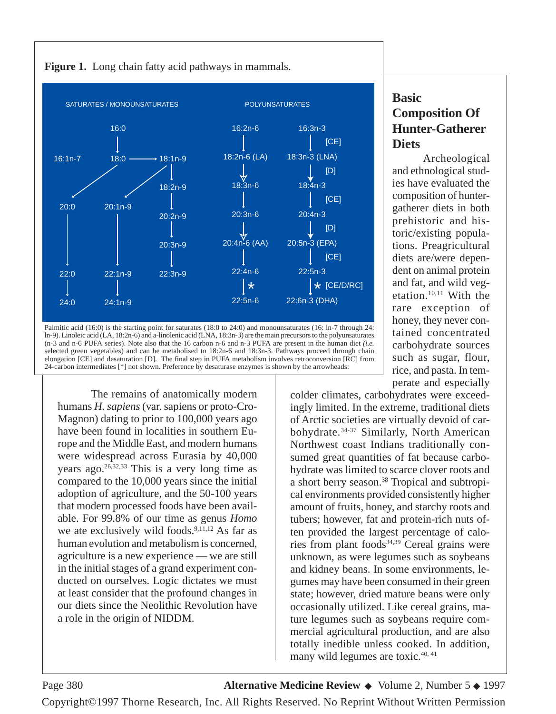

**Figure 1.** Long chain fatty acid pathways in mammals.

ln-9). Linoleic acid (LA, 18:2n-6) and a-linolenic acid (LNA, 18:3n-3) are the main precursors to the polyunsaturates (n-3 and n-6 PUFA series). Note also that the 16 carbon n-6 and n-3 PUFA are present in the human diet *(i.e.* selected green vegetables) and can be metabolised to 18:2n-6 and 18:3n-3. Pathways proceed through chain elongation [CE] and desaturation [D]. The final step in PUFA metabolism involves retroconversion [RC] from 24-carbon intermediates [\*] not shown. Preference by desaturase enzymes is shown by the arrowheads:

The remains of anatomically modern humans *H. sapiens*(var. sapiens or proto-Cro-Magnon) dating to prior to 100,000 years ago have been found in localities in southern Europe and the Middle East, and modern humans were widespread across Eurasia by 40,000 years ago. $26,32,33$  This is a very long time as compared to the 10,000 years since the initial adoption of agriculture, and the 50-100 years that modern processed foods have been available. For 99.8% of our time as genus *Homo* we ate exclusively wild foods.<sup>9,11,12</sup> As far as human evolution and metabolism is concerned, agriculture is a new experience — we are still in the initial stages of a grand experiment conducted on ourselves. Logic dictates we must at least consider that the profound changes in our diets since the Neolithic Revolution have a role in the origin of NIDDM.

# **Basic Composition Of Hunter-Gatherer Diets**

Archeological and ethnological studies have evaluated the composition of huntergatherer diets in both prehistoric and historic/existing populations. Preagricultural diets are/were dependent on animal protein and fat, and wild vegetation.10,11 With the rare exception of honey, they never contained concentrated carbohydrate sources such as sugar, flour, rice, and pasta. In temperate and especially

colder climates, carbohydrates were exceedingly limited. In the extreme, traditional diets of Arctic societies are virtually devoid of carbohydrate.34-37 Similarly, North American Northwest coast Indians traditionally consumed great quantities of fat because carbohydrate was limited to scarce clover roots and a short berry season.38 Tropical and subtropical environments provided consistently higher amount of fruits, honey, and starchy roots and tubers; however, fat and protein-rich nuts often provided the largest percentage of calories from plant foods $34,39$  Cereal grains were unknown, as were legumes such as soybeans and kidney beans. In some environments, legumes may have been consumed in their green state; however, dried mature beans were only occasionally utilized. Like cereal grains, mature legumes such as soybeans require commercial agricultural production, and are also totally inedible unless cooked. In addition, many wild legumes are toxic.<sup>40, 41</sup>

Page 380 **Alternative Medicine Review** ◆ Volume 2, Number 5 ◆ 1997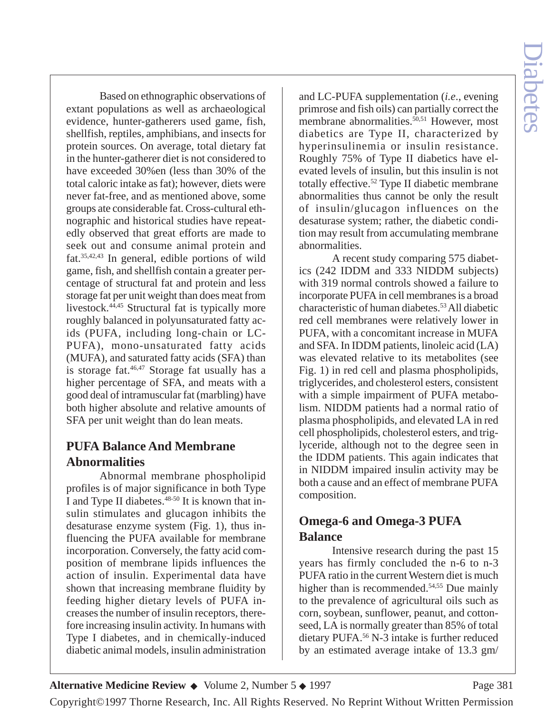Based on ethnographic observations of extant populations as well as archaeological evidence, hunter-gatherers used game, fish, shellfish, reptiles, amphibians, and insects for protein sources. On average, total dietary fat in the hunter-gatherer diet is not considered to have exceeded 30%en (less than 30% of the total caloric intake as fat); however, diets were never fat-free, and as mentioned above, some groups ate considerable fat. Cross-cultural ethnographic and historical studies have repeatedly observed that great efforts are made to seek out and consume animal protein and fat.35,42,43 In general, edible portions of wild game, fish, and shellfish contain a greater percentage of structural fat and protein and less storage fat per unit weight than does meat from livestock.44,45 Structural fat is typically more roughly balanced in polyunsaturated fatty acids (PUFA, including long-chain or LC-PUFA), mono-unsaturated fatty acids (MUFA), and saturated fatty acids (SFA) than is storage fat. $46,47$  Storage fat usually has a higher percentage of SFA, and meats with a good deal of intramuscular fat (marbling) have both higher absolute and relative amounts of SFA per unit weight than do lean meats.

# **PUFA Balance And Membrane Abnormalities**

Abnormal membrane phospholipid profiles is of major significance in both Type I and Type II diabetes.<sup>48-50</sup> It is known that insulin stimulates and glucagon inhibits the desaturase enzyme system (Fig. 1), thus influencing the PUFA available for membrane incorporation. Conversely, the fatty acid composition of membrane lipids influences the action of insulin. Experimental data have shown that increasing membrane fluidity by feeding higher dietary levels of PUFA increases the number of insulin receptors, therefore increasing insulin activity. In humans with Type I diabetes, and in chemically-induced diabetic animal models, insulin administration

and LC-PUFA supplementation (*i.e*., evening primrose and fish oils) can partially correct the membrane abnormalities.<sup>50,51</sup> However, most diabetics are Type II, characterized by hyperinsulinemia or insulin resistance. Roughly 75% of Type II diabetics have elevated levels of insulin, but this insulin is not totally effective.52 Type II diabetic membrane abnormalities thus cannot be only the result of insulin/glucagon influences on the desaturase system; rather, the diabetic condition may result from accumulating membrane abnormalities.

A recent study comparing 575 diabetics (242 IDDM and 333 NIDDM subjects) with 319 normal controls showed a failure to incorporate PUFA in cell membranes is a broad characteristic of human diabetes.53All diabetic red cell membranes were relatively lower in PUFA, with a concomitant increase in MUFA and SFA. In IDDM patients, linoleic acid (LA) was elevated relative to its metabolites (see Fig. 1) in red cell and plasma phospholipids, triglycerides, and cholesterol esters, consistent with a simple impairment of PUFA metabolism. NIDDM patients had a normal ratio of plasma phospholipids, and elevated LA in red cell phospholipids, cholesterol esters, and triglyceride, although not to the degree seen in the IDDM patients. This again indicates that in NIDDM impaired insulin activity may be both a cause and an effect of membrane PUFA composition.

# **Omega-6 and Omega-3 PUFA Balance**

Intensive research during the past 15 years has firmly concluded the n-6 to n-3 PUFA ratio in the current Western diet is much higher than is recommended.<sup>54,55</sup> Due mainly to the prevalence of agricultural oils such as corn, soybean, sunflower, peanut, and cottonseed, LA is normally greater than 85% of total dietary PUFA.<sup>56</sup> N-3 intake is further reduced by an estimated average intake of 13.3 gm/

**Alternative Medicine Review ◆** Volume 2, Number 5 ◆ 1997 Page 381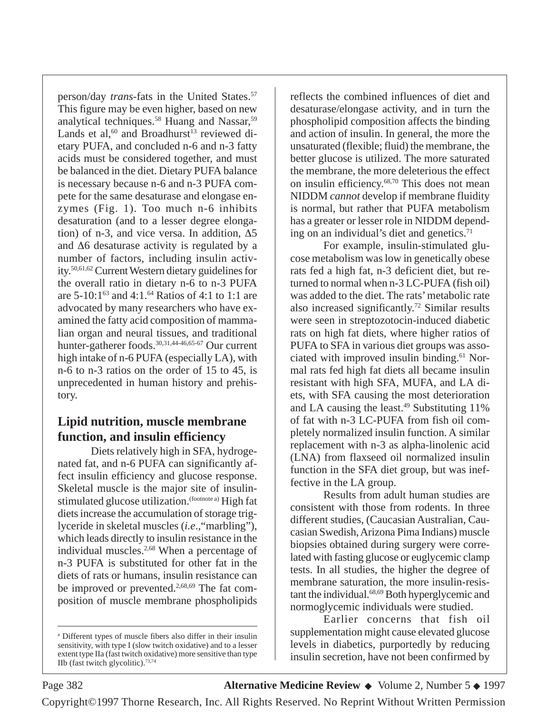person/day *trans-*fats in the United States.57 This figure may be even higher, based on new analytical techniques.<sup>58</sup> Huang and Nassar,<sup>59</sup> Lands et al,<sup>60</sup> and Broadhurst<sup>13</sup> reviewed dietary PUFA, and concluded n-6 and n-3 fatty acids must be considered together, and must be balanced in the diet. Dietary PUFA balance is necessary because n-6 and n-3 PUFA compete for the same desaturase and elongase enzymes (Fig. 1). Too much n-6 inhibits desaturation (and to a lesser degree elongation) of n-3, and vice versa. In addition, ∆5 and ∆6 desaturase activity is regulated by a number of factors, including insulin activity.50,61,62 Current Western dietary guidelines for the overall ratio in dietary n-6 to n-3 PUFA are  $5-10:1^{63}$  and  $4:1^{64}$  Ratios of  $4:1$  to  $1:1$  are advocated by many researchers who have examined the fatty acid composition of mammalian organ and neural tissues, and traditional hunter-gatherer foods.<sup>30,31,44-46,65-67</sup> Our current high intake of n-6 PUFA (especially LA), with n-6 to n-3 ratios on the order of 15 to 45, is unprecedented in human history and prehistory.

# **Lipid nutrition, muscle membrane function, and insulin efficiency**

Diets relatively high in SFA, hydrogenated fat, and n-6 PUFA can significantly affect insulin efficiency and glucose response. Skeletal muscle is the major site of insulinstimulated glucose utilization.<sup>(footnote a)</sup> High fat diets increase the accumulation of storage triglyceride in skeletal muscles (*i.e*.,"marbling"), which leads directly to insulin resistance in the individual muscles.<sup>2,68</sup> When a percentage of n-3 PUFA is substituted for other fat in the diets of rats or humans, insulin resistance can be improved or prevented.<sup>2,68,69</sup> The fat composition of muscle membrane phospholipids

reflects the combined influences of diet and desaturase/elongase activity, and in turn the phospholipid composition affects the binding and action of insulin. In general, the more the unsaturated (flexible; fluid) the membrane, the better glucose is utilized. The more saturated the membrane, the more deleterious the effect on insulin efficiency.68,70 This does not mean NIDDM *cannot* develop if membrane fluidity is normal, but rather that PUFA metabolism has a greater or lesser role in NIDDM depending on an individual's diet and genetics. $71$ 

For example, insulin-stimulated glucose metabolism was low in genetically obese rats fed a high fat, n-3 deficient diet, but returned to normal when n-3 LC-PUFA (fish oil) was added to the diet. The rats' metabolic rate also increased significantly.72 Similar results were seen in streptozotocin-induced diabetic rats on high fat diets, where higher ratios of PUFA to SFA in various diet groups was associated with improved insulin binding.<sup>61</sup> Normal rats fed high fat diets all became insulin resistant with high SFA, MUFA, and LA diets, with SFA causing the most deterioration and LA causing the least.<sup>49</sup> Substituting  $11\%$ of fat with n-3 LC-PUFA from fish oil completely normalized insulin function. A similar replacement with n-3 as alpha-linolenic acid (LNA) from flaxseed oil normalized insulin function in the SFA diet group, but was ineffective in the LA group.

Results from adult human studies are consistent with those from rodents. In three different studies, (Caucasian Australian, Caucasian Swedish, Arizona Pima Indians) muscle biopsies obtained during surgery were correlated with fasting glucose or euglycemic clamp tests. In all studies, the higher the degree of membrane saturation, the more insulin-resistant the individual.<sup>68,69</sup> Both hyperglycemic and normoglycemic individuals were studied.

Earlier concerns that fish oil supplementation might cause elevated glucose levels in diabetics, purportedly by reducing insulin secretion, have not been confirmed by

Page 382 **Alternative Medicine Review** ◆ Volume 2, Number 5 ◆ 1997

<sup>a</sup> Different types of muscle fibers also differ in their insulin sensitivity, with type I (slow twitch oxidative) and to a lesser extent type IIa (fast twitch oxidative) more sensitive than type IIb (fast twitch glycolitic).73,74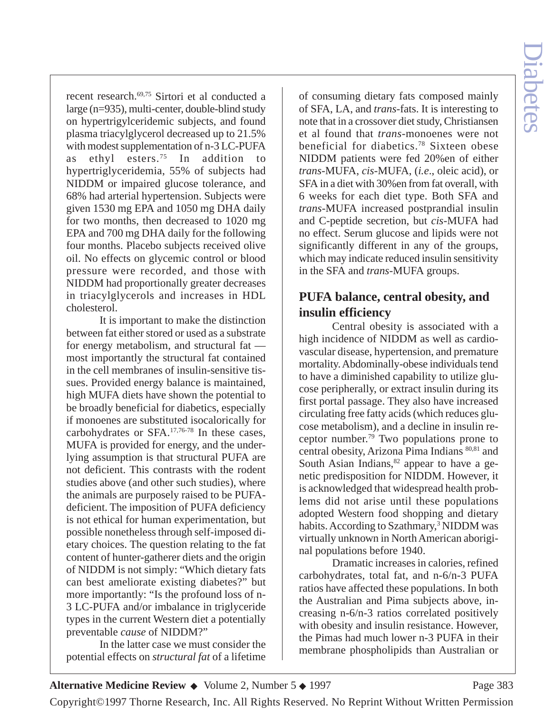recent research.69,75 Sirtori et al conducted a large (n=935), multi-center, double-blind study on hypertrigylceridemic subjects, and found plasma triacylglycerol decreased up to 21.5% with modest supplementation of n-3 LC-PUFA<br>as ethyl esters.<sup>75</sup> In addition to as ethyl esters.<sup>75</sup> In addition to hypertriglyceridemia, 55% of subjects had NIDDM or impaired glucose tolerance, and 68% had arterial hypertension. Subjects were given 1530 mg EPA and 1050 mg DHA daily for two months, then decreased to 1020 mg EPA and 700 mg DHA daily for the following four months. Placebo subjects received olive oil. No effects on glycemic control or blood pressure were recorded, and those with NIDDM had proportionally greater decreases in triacylglycerols and increases in HDL cholesterol.

It is important to make the distinction between fat either stored or used as a substrate for energy metabolism, and structural fat most importantly the structural fat contained in the cell membranes of insulin-sensitive tissues. Provided energy balance is maintained, high MUFA diets have shown the potential to be broadly beneficial for diabetics, especially if monoenes are substituted isocalorically for carbohydrates or SFA.17,76-78 In these cases, MUFA is provided for energy, and the underlying assumption is that structural PUFA are not deficient. This contrasts with the rodent studies above (and other such studies), where the animals are purposely raised to be PUFAdeficient. The imposition of PUFA deficiency is not ethical for human experimentation, but possible nonetheless through self-imposed dietary choices. The question relating to the fat content of hunter-gatherer diets and the origin of NIDDM is not simply: "Which dietary fats can best ameliorate existing diabetes?" but more importantly: "Is the profound loss of n-3 LC-PUFA and/or imbalance in triglyceride types in the current Western diet a potentially preventable *cause* of NIDDM?"

In the latter case we must consider the potential effects on *structural fat* of a lifetime

of consuming dietary fats composed mainly of SFA, LA, and *trans-*fats. It is interesting to note that in a crossover diet study, Christiansen et al found that *trans-*monoenes were not beneficial for diabetics.78 Sixteen obese NIDDM patients were fed 20%en of either *trans-*MUFA, *cis-*MUFA, (*i.e*., oleic acid), or SFA in a diet with 30%en from fat overall, with 6 weeks for each diet type. Both SFA and *trans-*MUFA increased postprandial insulin and C-peptide secretion, but *cis-*MUFA had no effect. Serum glucose and lipids were not significantly different in any of the groups, which may indicate reduced insulin sensitivity in the SFA and *trans-*MUFA groups.

# **PUFA balance, central obesity, and insulin efficiency**

Central obesity is associated with a high incidence of NIDDM as well as cardiovascular disease, hypertension, and premature mortality. Abdominally-obese individuals tend to have a diminished capability to utilize glucose peripherally, or extract insulin during its first portal passage. They also have increased circulating free fatty acids (which reduces glucose metabolism), and a decline in insulin receptor number.79 Two populations prone to central obesity, Arizona Pima Indians 80,81 and South Asian Indians, $82$  appear to have a genetic predisposition for NIDDM. However, it is acknowledged that widespread health problems did not arise until these populations adopted Western food shopping and dietary habits. According to Szathmary,<sup>3</sup> NIDDM was virtually unknown in North American aboriginal populations before 1940.

Dramatic increases in calories, refined carbohydrates, total fat, and n-6/n-3 PUFA ratios have affected these populations. In both the Australian and Pima subjects above, increasing n-6/n-3 ratios correlated positively with obesity and insulin resistance. However, the Pimas had much lower n-3 PUFA in their membrane phospholipids than Australian or

Copyright©1997 Thorne Research, Inc. All Rights Reserved. No Reprint Without Written Permission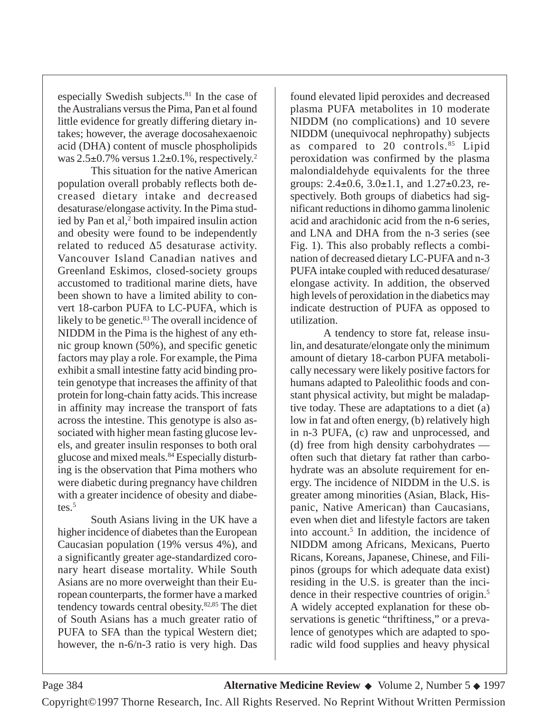especially Swedish subjects. $81$  In the case of the Australians versus the Pima, Pan et al found little evidence for greatly differing dietary intakes; however, the average docosahexaenoic acid (DHA) content of muscle phospholipids was  $2.5\pm0.7\%$  versus  $1.2\pm0.1\%$ , respectively.<sup>2</sup>

This situation for the native American population overall probably reflects both decreased dietary intake and decreased desaturase/elongase activity. In the Pima studied by Pan et al, $2$  both impaired insulin action and obesity were found to be independently related to reduced ∆5 desaturase activity. Vancouver Island Canadian natives and Greenland Eskimos, closed-society groups accustomed to traditional marine diets, have been shown to have a limited ability to convert 18-carbon PUFA to LC-PUFA, which is likely to be genetic. $83$  The overall incidence of NIDDM in the Pima is the highest of any ethnic group known (50%), and specific genetic factors may play a role. For example, the Pima exhibit a small intestine fatty acid binding protein genotype that increases the affinity of that protein for long-chain fatty acids. This increase in affinity may increase the transport of fats across the intestine. This genotype is also associated with higher mean fasting glucose levels, and greater insulin responses to both oral glucose and mixed meals.84 Especially disturbing is the observation that Pima mothers who were diabetic during pregnancy have children with a greater incidence of obesity and diabetes.<sup>5</sup>

South Asians living in the UK have a higher incidence of diabetes than the European Caucasian population (19% versus 4%), and a significantly greater age-standardized coronary heart disease mortality. While South Asians are no more overweight than their European counterparts, the former have a marked tendency towards central obesity.82,85 The diet of South Asians has a much greater ratio of PUFA to SFA than the typical Western diet; however, the n-6/n-3 ratio is very high. Das

found elevated lipid peroxides and decreased plasma PUFA metabolites in 10 moderate NIDDM (no complications) and 10 severe NIDDM (unequivocal nephropathy) subjects as compared to 20 controls.<sup>85</sup> Lipid peroxidation was confirmed by the plasma malondialdehyde equivalents for the three groups:  $2.4 \pm 0.6$ ,  $3.0 \pm 1.1$ , and  $1.27 \pm 0.23$ , respectively. Both groups of diabetics had significant reductions in dihomo gamma linolenic acid and arachidonic acid from the n-6 series, and LNA and DHA from the n-3 series (see Fig. 1). This also probably reflects a combination of decreased dietary LC-PUFA and n-3 PUFA intake coupled with reduced desaturase/ elongase activity. In addition, the observed high levels of peroxidation in the diabetics may indicate destruction of PUFA as opposed to utilization.

A tendency to store fat, release insulin, and desaturate/elongate only the minimum amount of dietary 18-carbon PUFA metabolically necessary were likely positive factors for humans adapted to Paleolithic foods and constant physical activity, but might be maladaptive today. These are adaptations to a diet (a) low in fat and often energy, (b) relatively high in n-3 PUFA, (c) raw and unprocessed, and (d) free from high density carbohydrates often such that dietary fat rather than carbohydrate was an absolute requirement for energy. The incidence of NIDDM in the U.S. is greater among minorities (Asian, Black, Hispanic, Native American) than Caucasians, even when diet and lifestyle factors are taken into account.<sup>5</sup> In addition, the incidence of NIDDM among Africans, Mexicans, Puerto Ricans, Koreans, Japanese, Chinese, and Filipinos (groups for which adequate data exist) residing in the U.S. is greater than the incidence in their respective countries of origin.5 A widely accepted explanation for these observations is genetic "thriftiness," or a prevalence of genotypes which are adapted to sporadic wild food supplies and heavy physical

Page 384 **Alternative Medicine Review** ◆ Volume 2, Number 5 ◆ 1997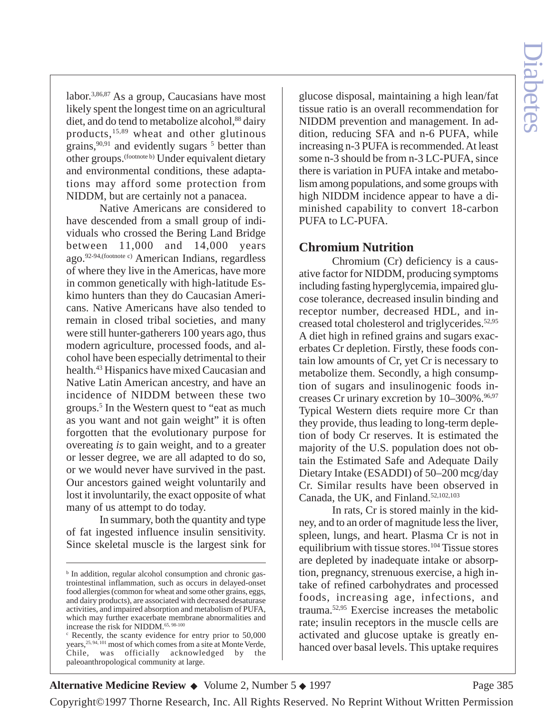labor.3,86,87 As a group, Caucasians have most likely spent the longest time on an agricultural diet, and do tend to metabolize alcohol,<sup>88</sup> dairy products,15,89 wheat and other glutinous grains, $90,91$  and evidently sugars  $5$  better than other groups.(footnote b) Under equivalent dietary and environmental conditions, these adaptations may afford some protection from NIDDM, but are certainly not a panacea.

Native Americans are considered to have descended from a small group of individuals who crossed the Bering Land Bridge between 11,000 and 14,000 years ago.92-94,(footnote c) American Indians, regardless of where they live in the Americas, have more in common genetically with high-latitude Eskimo hunters than they do Caucasian Americans. Native Americans have also tended to remain in closed tribal societies, and many were still hunter-gatherers 100 years ago, thus modern agriculture, processed foods, and alcohol have been especially detrimental to their health.43 Hispanics have mixed Caucasian and Native Latin American ancestry, and have an incidence of NIDDM between these two groups.5 In the Western quest to "eat as much as you want and not gain weight" it is often forgotten that the evolutionary purpose for overeating *is* to gain weight, and to a greater or lesser degree, we are all adapted to do so, or we would never have survived in the past. Our ancestors gained weight voluntarily and lost it involuntarily, the exact opposite of what many of us attempt to do today.

In summary, both the quantity and type of fat ingested influence insulin sensitivity. Since skeletal muscle is the largest sink for

glucose disposal, maintaining a high lean/fat tissue ratio is an overall recommendation for NIDDM prevention and management. In addition, reducing SFA and n-6 PUFA, while increasing n-3 PUFA is recommended. At least some n-3 should be from n-3 LC-PUFA, since there is variation in PUFA intake and metabolism among populations, and some groups with high NIDDM incidence appear to have a diminished capability to convert 18-carbon PUFA to LC-PUFA.

### **Chromium Nutrition**

Chromium (Cr) deficiency is a causative factor for NIDDM, producing symptoms including fasting hyperglycemia, impaired glucose tolerance, decreased insulin binding and receptor number, decreased HDL, and increased total cholesterol and triglycerides.<sup>52,95</sup> A diet high in refined grains and sugars exacerbates Cr depletion. Firstly, these foods contain low amounts of Cr, yet Cr is necessary to metabolize them. Secondly, a high consumption of sugars and insulinogenic foods increases Cr urinary excretion by  $10-300\%$ .  $96,97$ Typical Western diets require more Cr than they provide, thus leading to long-term depletion of body Cr reserves. It is estimated the majority of the U.S. population does not obtain the Estimated Safe and Adequate Daily Dietary Intake (ESADDI) of 50–200 mcg/day Cr. Similar results have been observed in Canada, the UK, and Finland.<sup>52,102,103</sup>

In rats, Cr is stored mainly in the kidney, and to an order of magnitude less the liver, spleen, lungs, and heart. Plasma Cr is not in equilibrium with tissue stores.<sup>104</sup> Tissue stores are depleted by inadequate intake or absorption, pregnancy, strenuous exercise, a high intake of refined carbohydrates and processed foods, increasing age, infections, and trauma.52,95 Exercise increases the metabolic rate; insulin receptors in the muscle cells are activated and glucose uptake is greatly enhanced over basal levels. This uptake requires

**Alternative Medicine Review ◆** Volume 2, Number 5 ◆ 1997 Page 385

<sup>&</sup>lt;sup>b</sup> In addition, regular alcohol consumption and chronic gastrointestinal inflammation, such as occurs in delayed-onset food allergies (common for wheat and some other grains, eggs, and dairy products), are associated with decreased desaturase activities, and impaired absorption and metabolism of PUFA, which may further exacerbate membrane abnormalities and increase the risk for NIDDM.65, 98-100

<sup>c</sup> Recently, the scanty evidence for entry prior to 50,000 years,25, 94, 101 most of which comes from a site at Monte Verde, Chile, was officially acknowledged by the paleoanthropological community at large.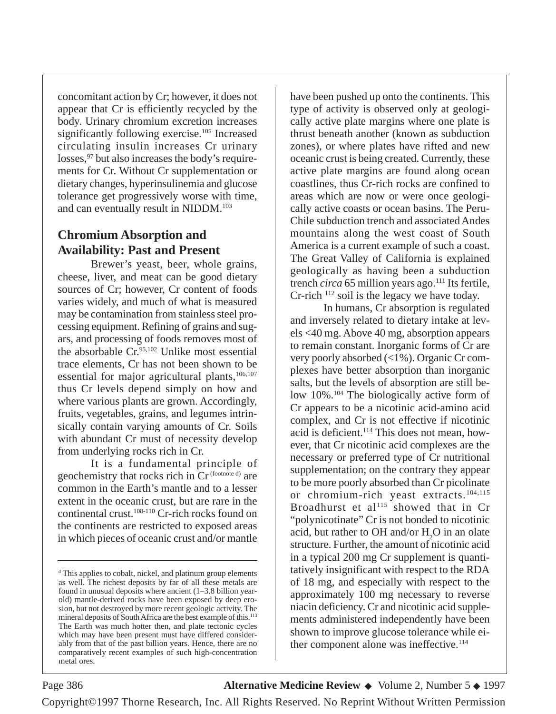concomitant action by Cr; however, it does not appear that Cr is efficiently recycled by the body. Urinary chromium excretion increases significantly following exercise.<sup>105</sup> Increased circulating insulin increases Cr urinary losses,  $97$  but also increases the body's requirements for Cr. Without Cr supplementation or dietary changes, hyperinsulinemia and glucose tolerance get progressively worse with time, and can eventually result in NIDDM.103

# **Chromium Absorption and Availability: Past and Present**

Brewer's yeast, beer, whole grains, cheese, liver, and meat can be good dietary sources of Cr; however, Cr content of foods varies widely, and much of what is measured may be contamination from stainless steel processing equipment. Refining of grains and sugars, and processing of foods removes most of the absorbable  $Cr^{95,102}$  Unlike most essential trace elements, Cr has not been shown to be essential for major agricultural plants, $106,107$ thus Cr levels depend simply on how and where various plants are grown. Accordingly, fruits, vegetables, grains, and legumes intrinsically contain varying amounts of Cr. Soils with abundant Cr must of necessity develop from underlying rocks rich in Cr.

It is a fundamental principle of geochemistry that rocks rich in Cr<sup>(footnote d)</sup> are common in the Earth's mantle and to a lesser extent in the oceanic crust, but are rare in the continental crust.<sup>108-110</sup> Cr-rich rocks found on the continents are restricted to exposed areas in which pieces of oceanic crust and/or mantle

have been pushed up onto the continents. This type of activity is observed only at geologically active plate margins where one plate is thrust beneath another (known as subduction zones), or where plates have rifted and new oceanic crust is being created. Currently, these active plate margins are found along ocean coastlines, thus Cr-rich rocks are confined to areas which are now or were once geologically active coasts or ocean basins. The Peru-Chile subduction trench and associated Andes mountains along the west coast of South America is a current example of such a coast. The Great Valley of California is explained geologically as having been a subduction trench *circa* 65 million years ago.<sup>111</sup> Its fertile, Cr-rich 112 soil is the legacy we have today.

In humans, Cr absorption is regulated and inversely related to dietary intake at levels <40 mg. Above 40 mg, absorption appears to remain constant. Inorganic forms of Cr are very poorly absorbed (<1%). Organic Cr complexes have better absorption than inorganic salts, but the levels of absorption are still below 10%.<sup>104</sup> The biologically active form of Cr appears to be a nicotinic acid-amino acid complex, and Cr is not effective if nicotinic acid is deficient.114 This does not mean, however, that Cr nicotinic acid complexes are the necessary or preferred type of Cr nutritional supplementation; on the contrary they appear to be more poorly absorbed than Cr picolinate or chromium-rich yeast extracts.104,115 Broadhurst et al<sup>115</sup> showed that in Cr "polynicotinate" Cr is not bonded to nicotinic acid, but rather to OH and/or  $H_2O$  in an olate structure. Further, the amount of nicotinic acid in a typical 200 mg Cr supplement is quantitatively insignificant with respect to the RDA of 18 mg, and especially with respect to the approximately 100 mg necessary to reverse niacin deficiency. Cr and nicotinic acid supplements administered independently have been shown to improve glucose tolerance while either component alone was ineffective.<sup>114</sup>

<sup>d</sup> This applies to cobalt, nickel, and platinum group elements as well. The richest deposits by far of all these metals are found in unusual deposits where ancient (1–3.8 billion yearold) mantle-derived rocks have been exposed by deep erosion, but not destroyed by more recent geologic activity. The mineral deposits of South Africa are the best example of this.113 The Earth was much hotter then, and plate tectonic cycles which may have been present must have differed considerably from that of the past billion years. Hence, there are no comparatively recent examples of such high-concentration metal ores.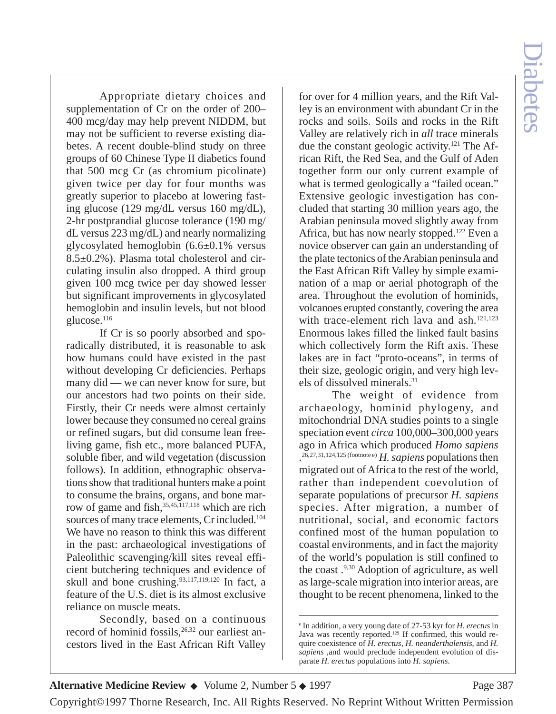Appropriate dietary choices and supplementation of Cr on the order of 200– 400 mcg/day may help prevent NIDDM, but may not be sufficient to reverse existing diabetes. A recent double-blind study on three groups of 60 Chinese Type II diabetics found that 500 mcg Cr (as chromium picolinate) given twice per day for four months was greatly superior to placebo at lowering fasting glucose (129 mg/dL versus 160 mg/dL), 2-hr postprandial glucose tolerance (190 mg/ dL versus 223 mg/dL) and nearly normalizing glycosylated hemoglobin (6.6±0.1% versus 8.5±0.2%). Plasma total cholesterol and circulating insulin also dropped. A third group given 100 mcg twice per day showed lesser but significant improvements in glycosylated hemoglobin and insulin levels, but not blood glucose.<sup>116</sup>

If Cr is so poorly absorbed and sporadically distributed, it is reasonable to ask how humans could have existed in the past without developing Cr deficiencies. Perhaps many did — we can never know for sure, but our ancestors had two points on their side. Firstly, their Cr needs were almost certainly lower because they consumed no cereal grains or refined sugars, but did consume lean freeliving game, fish etc., more balanced PUFA, soluble fiber, and wild vegetation (discussion follows). In addition, ethnographic observations show that traditional hunters make a point to consume the brains, organs, and bone marrow of game and fish,  $35,45,117,118$  which are rich sources of many trace elements, Cr included.<sup>104</sup> We have no reason to think this was different in the past: archaeological investigations of Paleolithic scavenging/kill sites reveal efficient butchering techniques and evidence of skull and bone crushing.  $93,117,119,120$  In fact, a feature of the U.S. diet is its almost exclusive reliance on muscle meats.

Secondly, based on a continuous record of hominid fossils,<sup>26,32</sup> our earliest ancestors lived in the East African Rift Valley for over for 4 million years, and the Rift Valley is an environment with abundant Cr in the rocks and soils. Soils and rocks in the Rift Valley are relatively rich in *all* trace minerals due the constant geologic activity.121 The African Rift, the Red Sea, and the Gulf of Aden together form our only current example of what is termed geologically a "failed ocean." Extensive geologic investigation has concluded that starting 30 million years ago, the Arabian peninsula moved slightly away from Africa, but has now nearly stopped.122 Even a novice observer can gain an understanding of the plate tectonics of the Arabian peninsula and the East African Rift Valley by simple examination of a map or aerial photograph of the area. Throughout the evolution of hominids, volcanoes erupted constantly, covering the area with trace-element rich lava and  $a sh$ <sup>121,123</sup> Enormous lakes filled the linked fault basins which collectively form the Rift axis. These lakes are in fact "proto-oceans", in terms of their size, geologic origin, and very high levels of dissolved minerals.31

The weight of evidence from archaeology, hominid phylogeny, and mitochondrial DNA studies points to a single speciation event *circa* 100,000–300,000 years ago in Africa which produced *Homo sapiens* . 26,27,31,124,125 (footnote e) *H. sapiens* populations then migrated out of Africa to the rest of the world, rather than independent coevolution of separate populations of precursor *H. sapiens* species. After migration, a number of nutritional, social, and economic factors confined most of the human population to coastal environments, and in fact the majority of the world's population is still confined to the coast .9,30 Adoption of agriculture, as well as large-scale migration into interior areas, are thought to be recent phenomena, linked to the

#### **Alternative Medicine Review ◆** Volume 2, Number 5 ◆ 1997 Page 387

<sup>e</sup> In addition, a very young date of 27-53 kyr for *H. erectus* in Java was recently reported.129 If confirmed, this would require coexistence of *H. erectus*, *H. neanderthalensis*, and *H. sapiens* ,and would preclude independent evolution of disparate *H. erectus* populations into *H. sapiens.*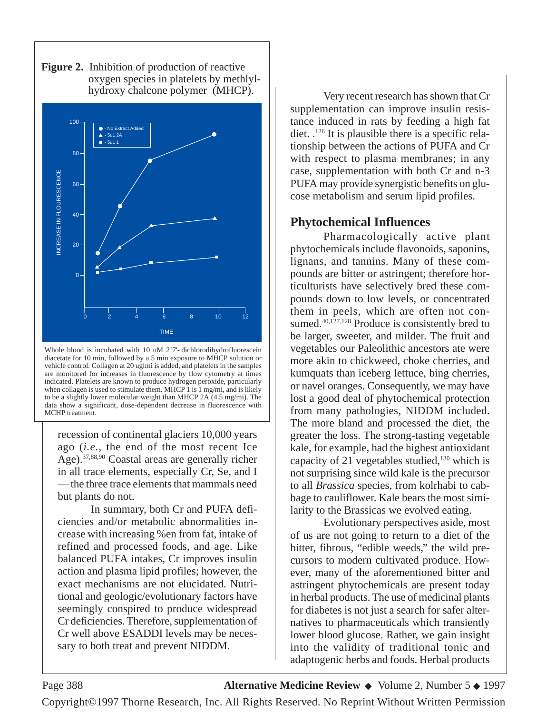

**Figure 2.** Inhibition of production of reactive oxygen species in platelets by methlyl hydroxy chalcone polymer (MHCP).

Whole blood is incubated with 10 uM 2'7'- dichlorodihydrofluorescein diacetate for 10 min, followed by a 5 min exposure to MHCP solution or vehicle control. Collagen at 20 uglmi is added, and platelets in the samples are monitored for increases in fluorescence by flow cytometry at times indicated. Platelets are known to produce hydrogen peroxide, particularly when collagen is used to stimulate them. MHCP 1 is 1 mg/mi, and is likely to be a slightly lower molecular weight than MHCP 2A (4.5 mg/mi). The data show a significant, dose-dependent decrease in fluorescence with MCHP treatment.

recession of continental glaciers 10,000 years ago (*i.e.,* the end of the most recent Ice Age).37,88,90 Coastal areas are generally richer in all trace elements, especially Cr, Se, and I — the three trace elements that mammals need but plants do not.

In summary, both Cr and PUFA deficiencies and/or metabolic abnormalities increase with increasing %en from fat, intake of refined and processed foods, and age. Like balanced PUFA intakes, Cr improves insulin action and plasma lipid profiles; however, the exact mechanisms are not elucidated. Nutritional and geologic/evolutionary factors have seemingly conspired to produce widespread Cr deficiencies. Therefore, supplementation of Cr well above ESADDI levels may be necessary to both treat and prevent NIDDM.

Very recent research has shown that Cr supplementation can improve insulin resistance induced in rats by feeding a high fat diet. .126 It is plausible there is a specific relationship between the actions of PUFA and Cr with respect to plasma membranes; in any case, supplementation with both Cr and n-3 PUFA may provide synergistic benefits on glucose metabolism and serum lipid profiles.

#### **Phytochemical Influences**

Pharmacologically active plant phytochemicals include flavonoids, saponins, lignans, and tannins. Many of these compounds are bitter or astringent; therefore horticulturists have selectively bred these compounds down to low levels, or concentrated them in peels, which are often not consumed.<sup>40,127,128</sup> Produce is consistently bred to be larger, sweeter, and milder. The fruit and vegetables our Paleolithic ancestors ate were more akin to chickweed, choke cherries, and kumquats than iceberg lettuce, bing cherries, or navel oranges. Consequently, we may have lost a good deal of phytochemical protection from many pathologies, NIDDM included. The more bland and processed the diet, the greater the loss. The strong-tasting vegetable kale, for example, had the highest antioxidant capacity of 21 vegetables studied, $130$  which is not surprising since wild kale is the precursor to all *Brassica* species, from kolrhabi to cabbage to cauliflower. Kale bears the most similarity to the Brassicas we evolved eating.

Evolutionary perspectives aside, most of us are not going to return to a diet of the bitter, fibrous, "edible weeds," the wild precursors to modern cultivated produce. However, many of the aforementioned bitter and astringent phytochemicals are present today in herbal products. The use of medicinal plants for diabetes is not just a search for safer alternatives to pharmaceuticals which transiently lower blood glucose. Rather, we gain insight into the validity of traditional tonic and adaptogenic herbs and foods. Herbal products

Page 388 **Alternative Medicine Review** ◆ Volume 2, Number 5 ◆ 1997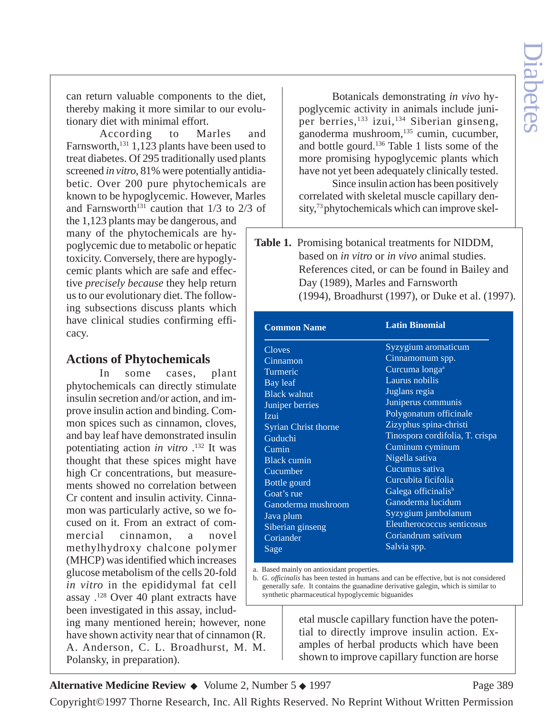can return valuable components to the diet, thereby making it more similar to our evolutionary diet with minimal effort.

According to Marles and Farnsworth,<sup>131</sup> 1,123 plants have been used to treat diabetes. Of 295 traditionally used plants screened *in vitro*, 81% were potentially antidiabetic. Over 200 pure phytochemicals are known to be hypoglycemic. However, Marles and Farnsworth<sup>131</sup> caution that  $1/3$  to  $2/3$  of the 1,123 plants may be dangerous, and many of the phytochemicals are hypoglycemic due to metabolic or hepatic toxicity. Conversely, there are hypoglycemic plants which are safe and effective *precisely because* they help return us to our evolutionary diet. The following subsections discuss plants which have clinical studies confirming efficacy.

# **Actions of Phytochemicals**

In some cases, plant phytochemicals can directly stimulate insulin secretion and/or action, and improve insulin action and binding. Common spices such as cinnamon, cloves, and bay leaf have demonstrated insulin potentiating action *in vitro* .132 It was thought that these spices might have high Cr concentrations, but measurements showed no correlation between Cr content and insulin activity. Cinnamon was particularly active, so we focused on it. From an extract of commercial cinnamon, a novel methylhydroxy chalcone polymer (MHCP) was identified which increases glucose metabolism of the cells 20-fold *in vitro* in the epididymal fat cell assay .128 Over 40 plant extracts have been investigated in this assay, including many mentioned herein; however, none

have shown activity near that of cinnamon (R. A. Anderson, C. L. Broadhurst, M. M. Polansky, in preparation).

Botanicals demonstrating *in vivo* hypoglycemic activity in animals include juniper berries,<sup>133</sup> izui,<sup>134</sup> Siberian ginseng, ganoderma mushroom,135 cumin, cucumber, and bottle gourd.136 Table 1 lists some of the more promising hypoglycemic plants which have not yet been adequately clinically tested.

Since insulin action has been positively correlated with skeletal muscle capillary density,<sup>73</sup> phytochemicals which can improve skel-

**Table 1.** Promising botanical treatments for NIDDM, based on *in vitro* or *in vivo* animal studies. References cited, or can be found in Bailey and Day (1989), Marles and Farnsworth (1994), Broadhurst (1997), or Duke et al. (1997).

| <b>Common Name</b>          | <b>Latin Binomial</b>           |
|-----------------------------|---------------------------------|
| <b>Cloves</b>               | Syzygium aromaticum             |
| Cinnamon                    | Cinnamomum spp.                 |
| Turmeric                    | Curcuma longa <sup>a</sup>      |
| Bay leaf                    | Laurus nobilis                  |
| <b>Black walnut</b>         | Juglans regia                   |
| Juniper berries             | Juniperus communis              |
| Izui                        | Polygonatum officinale          |
| <b>Syrian Christ thorne</b> | Zizyphus spina-christi          |
| Guduchi                     | Tinospora cordifolia, T. crispa |
| Cumin                       | Cuminum cyminum                 |
| <b>Black cumin</b>          | Nigella sativa                  |
| Cucumber                    | Cucumus sativa                  |
| Bottle gourd                | Curcubita ficifolia             |
| Goat's rue                  | Galega officinalis <sup>b</sup> |
| Ganoderma mushroom          | Ganoderma lucidum               |
| Java plum                   | Syzygium jambolanum             |
| Siberian ginseng            | Eleutherococcus senticosus      |
| Coriander                   | Coriandrum sativum              |
| Sage                        | Salvia spp.                     |

a. Based mainly on antioxidant properties.

b. *G. officinalis* has been tested in humans and can be effective, but is not considered generally safe. It contains the guanadine derivative galegin, which is similar to synthetic pharmaceutical hypoglycemic biguanides

> etal muscle capillary function have the potential to directly improve insulin action. Examples of herbal products which have been shown to improve capillary function are horse

Alternative Medicine Review ◆ Volume 2, Number 5 ◆ 1997 Page 389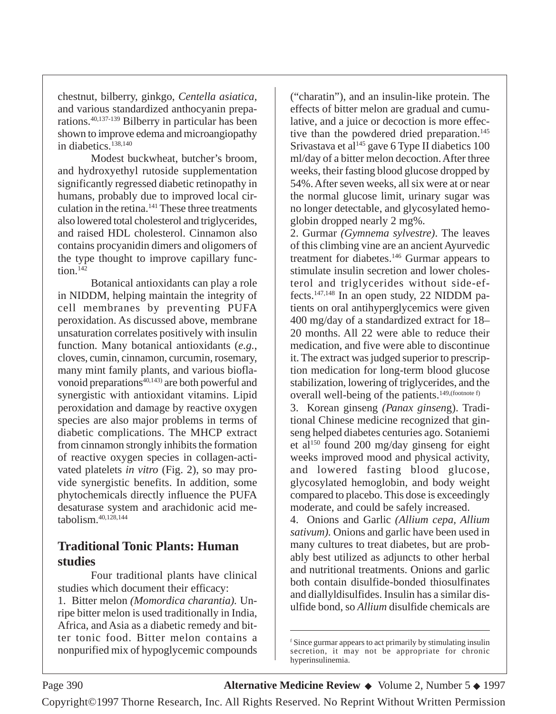chestnut, bilberry, ginkgo, *Centella asiatica*, and various standardized anthocyanin preparations.40,137-139 Bilberry in particular has been shown to improve edema and microangiopathy in diabetics.138,140

Modest buckwheat, butcher's broom, and hydroxyethyl rutoside supplementation significantly regressed diabetic retinopathy in humans, probably due to improved local circulation in the retina.<sup>141</sup> These three treatments also lowered total cholesterol and triglycerides, and raised HDL cholesterol. Cinnamon also contains procyanidin dimers and oligomers of the type thought to improve capillary func $tion<sup>142</sup>$ 

Botanical antioxidants can play a role in NIDDM, helping maintain the integrity of cell membranes by preventing PUFA peroxidation. As discussed above, membrane unsaturation correlates positively with insulin function. Many botanical antioxidants (*e.g.*, cloves, cumin, cinnamon, curcumin, rosemary, many mint family plants, and various bioflavonoid preparations<sup>40,143</sup> are both powerful and synergistic with antioxidant vitamins. Lipid peroxidation and damage by reactive oxygen species are also major problems in terms of diabetic complications. The MHCP extract from cinnamon strongly inhibits the formation of reactive oxygen species in collagen-activated platelets *in vitro* (Fig. 2), so may provide synergistic benefits. In addition, some phytochemicals directly influence the PUFA desaturase system and arachidonic acid metabolism.40,128,144

# **Traditional Tonic Plants: Human studies**

Four traditional plants have clinical studies which document their efficacy: 1. Bitter melon *(Momordica charantia).* Unripe bitter melon is used traditionally in India, Africa, and Asia as a diabetic remedy and bitter tonic food. Bitter melon contains a nonpurified mix of hypoglycemic compounds

("charatin"), and an insulin-like protein. The effects of bitter melon are gradual and cumulative, and a juice or decoction is more effective than the powdered dried preparation.<sup>145</sup> Srivastava et al<sup>145</sup> gave 6 Type II diabetics  $100$ ml/day of a bitter melon decoction. After three weeks, their fasting blood glucose dropped by 54%. After seven weeks, all six were at or near the normal glucose limit, urinary sugar was no longer detectable, and glycosylated hemoglobin dropped nearly 2 mg%.

2. Gurmar *(Gymnema sylvestre)*. The leaves of this climbing vine are an ancient Ayurvedic treatment for diabetes.146 Gurmar appears to stimulate insulin secretion and lower cholesterol and triglycerides without side-effects.147,148 In an open study, 22 NIDDM patients on oral antihyperglycemics were given 400 mg/day of a standardized extract for 18– 20 months. All 22 were able to reduce their medication, and five were able to discontinue it. The extract was judged superior to prescription medication for long-term blood glucose stabilization, lowering of triglycerides, and the overall well-being of the patients.<sup>149,(footnote f)</sup>

3. Korean ginseng *(Panax ginsen*g). Traditional Chinese medicine recognized that ginseng helped diabetes centuries ago. Sotaniemi et al<sup>150</sup> found 200 mg/day ginseng for eight weeks improved mood and physical activity, and lowered fasting blood glucose, glycosylated hemoglobin, and body weight compared to placebo. This dose is exceedingly moderate, and could be safely increased.

4. Onions and Garlic *(Allium cepa, Allium sativum).* Onions and garlic have been used in many cultures to treat diabetes, but are probably best utilized as adjuncts to other herbal and nutritional treatments. Onions and garlic both contain disulfide-bonded thiosulfinates and diallyldisulfides. Insulin has a similar disulfide bond, so *Allium* disulfide chemicals are

Page 390 **Alternative Medicine Review** ◆ Volume 2, Number 5 ◆ 1997

<sup>f</sup> Since gurmar appears to act primarily by stimulating insulin secretion, it may not be appropriate for chronic hyperinsulinemia.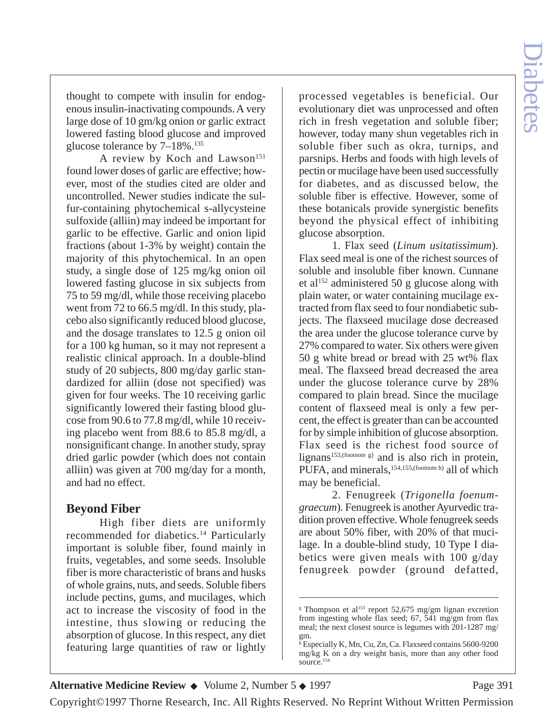thought to compete with insulin for endogenous insulin-inactivating compounds. A very large dose of 10 gm/kg onion or garlic extract lowered fasting blood glucose and improved glucose tolerance by  $7-18\%$ .<sup>135</sup>

A review by Koch and Lawson<sup>151</sup> found lower doses of garlic are effective; however, most of the studies cited are older and uncontrolled. Newer studies indicate the sulfur-containing phytochemical s-allycysteine sulfoxide (alliin) may indeed be important for garlic to be effective. Garlic and onion lipid fractions (about 1-3% by weight) contain the majority of this phytochemical. In an open study, a single dose of 125 mg/kg onion oil lowered fasting glucose in six subjects from 75 to 59 mg/dl, while those receiving placebo went from 72 to 66.5 mg/dl. In this study, placebo also significantly reduced blood glucose, and the dosage translates to 12.5 g onion oil for a 100 kg human, so it may not represent a realistic clinical approach. In a double-blind study of 20 subjects, 800 mg/day garlic standardized for alliin (dose not specified) was given for four weeks. The 10 receiving garlic significantly lowered their fasting blood glucose from 90.6 to 77.8 mg/dl, while 10 receiving placebo went from 88.6 to 85.8 mg/dl, a nonsignificant change. In another study, spray dried garlic powder (which does not contain alliin) was given at 700 mg/day for a month, and had no effect.

# **Beyond Fiber**

High fiber diets are uniformly recommended for diabetics.14 Particularly important is soluble fiber, found mainly in fruits, vegetables, and some seeds. Insoluble fiber is more characteristic of brans and husks of whole grains, nuts, and seeds. Soluble fibers include pectins, gums, and mucilages, which act to increase the viscosity of food in the intestine, thus slowing or reducing the absorption of glucose. In this respect, any diet featuring large quantities of raw or lightly

processed vegetables is beneficial. Our evolutionary diet was unprocessed and often rich in fresh vegetation and soluble fiber; however, today many shun vegetables rich in soluble fiber such as okra, turnips, and parsnips. Herbs and foods with high levels of pectin or mucilage have been used successfully for diabetes, and as discussed below, the soluble fiber is effective. However, some of these botanicals provide synergistic benefits beyond the physical effect of inhibiting glucose absorption.

1. Flax seed (*Linum usitatissimum*). Flax seed meal is one of the richest sources of soluble and insoluble fiber known. Cunnane et al<sup>152</sup> administered 50 g glucose along with plain water, or water containing mucilage extracted from flax seed to four nondiabetic subjects. The flaxseed mucilage dose decreased the area under the glucose tolerance curve by 27% compared to water. Six others were given 50 g white bread or bread with 25 wt% flax meal. The flaxseed bread decreased the area under the glucose tolerance curve by 28% compared to plain bread. Since the mucilage content of flaxseed meal is only a few percent, the effect is greater than can be accounted for by simple inhibition of glucose absorption. Flax seed is the richest food source of lignans<sup>153,(footnote g)</sup> and is also rich in protein, PUFA, and minerals,<sup>154,155,(footnote h)</sup> all of which may be beneficial.

2. Fenugreek (*Trigonella foenumgraecum*). Fenugreek is another Ayurvedic tradition proven effective. Whole fenugreek seeds are about 50% fiber, with 20% of that mucilage. In a double-blind study, 10 Type I diabetics were given meals with 100 g/day fenugreek powder (ground defatted,

**Alternative Medicine Review ◆** Volume 2, Number 5 ◆ 1997 Page 391

<sup>&</sup>lt;sup>g</sup> Thompson et al<sup>153</sup> report 52,675 mg/gm lignan excretion from ingesting whole flax seed; 67, 541 mg/gm from flax meal; the next closest source is legumes with 201-1287 mg/ gm.

<sup>h</sup> Especially K, Mn, Cu, Zn, Ca. Flaxseed contains 5600-9200 mg/kg K on a dry weight basis, more than any other food source.154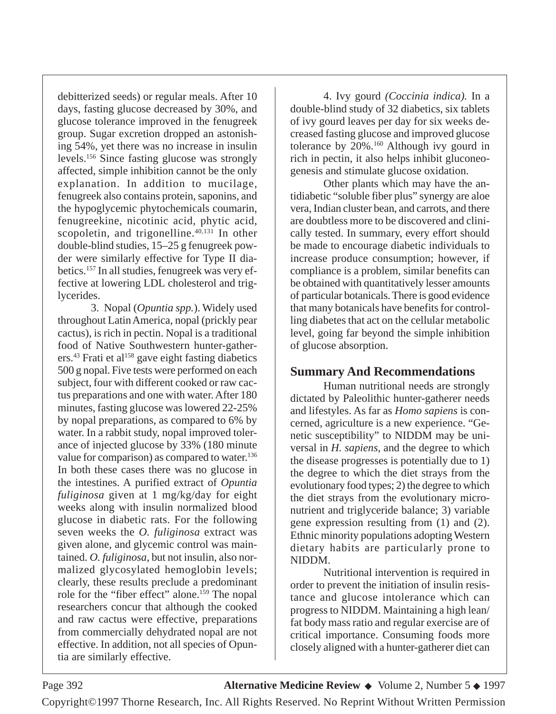debitterized seeds) or regular meals. After 10 days, fasting glucose decreased by 30%, and glucose tolerance improved in the fenugreek group. Sugar excretion dropped an astonishing 54%, yet there was no increase in insulin levels.156 Since fasting glucose was strongly affected, simple inhibition cannot be the only explanation. In addition to mucilage, fenugreek also contains protein, saponins, and the hypoglycemic phytochemicals coumarin, fenugreekine, nicotinic acid, phytic acid, scopoletin, and trigonelline.<sup>40,131</sup> In other double-blind studies, 15–25 g fenugreek powder were similarly effective for Type II diabetics.157 In all studies, fenugreek was very effective at lowering LDL cholesterol and triglycerides.

3. Nopal (*Opuntia spp.*). Widely used throughout Latin America, nopal (prickly pear cactus), is rich in pectin. Nopal is a traditional food of Native Southwestern hunter-gatherers.<sup>43</sup> Frati et al<sup>158</sup> gave eight fasting diabetics 500 g nopal. Five tests were performed on each subject, four with different cooked or raw cactus preparations and one with water. After 180 minutes, fasting glucose was lowered 22-25% by nopal preparations, as compared to 6% by water. In a rabbit study, nopal improved tolerance of injected glucose by 33% (180 minute value for comparison) as compared to water.<sup>136</sup> In both these cases there was no glucose in the intestines. A purified extract of *Opuntia fuliginosa* given at 1 mg/kg/day for eight weeks along with insulin normalized blood glucose in diabetic rats. For the following seven weeks the *O. fuliginosa* extract was given alone, and glycemic control was maintained. *O. fuliginosa*, but not insulin, also normalized glycosylated hemoglobin levels; clearly, these results preclude a predominant role for the "fiber effect" alone.<sup>159</sup> The nopal researchers concur that although the cooked and raw cactus were effective, preparations from commercially dehydrated nopal are not effective. In addition, not all species of Opuntia are similarly effective.

4. Ivy gourd *(Coccinia indica).* In a double-blind study of 32 diabetics, six tablets of ivy gourd leaves per day for six weeks decreased fasting glucose and improved glucose tolerance by 20%.160 Although ivy gourd in rich in pectin, it also helps inhibit gluconeogenesis and stimulate glucose oxidation.

Other plants which may have the antidiabetic "soluble fiber plus" synergy are aloe vera, Indian cluster bean, and carrots, and there are doubtless more to be discovered and clinically tested. In summary, every effort should be made to encourage diabetic individuals to increase produce consumption; however, if compliance is a problem, similar benefits can be obtained with quantitatively lesser amounts of particular botanicals. There is good evidence that many botanicals have benefits for controlling diabetes that act on the cellular metabolic level, going far beyond the simple inhibition of glucose absorption.

# **Summary And Recommendations**

Human nutritional needs are strongly dictated by Paleolithic hunter-gatherer needs and lifestyles. As far as *Homo sapiens* is concerned, agriculture is a new experience. "Genetic susceptibility" to NIDDM may be universal in *H. sapiens*, and the degree to which the disease progresses is potentially due to 1) the degree to which the diet strays from the evolutionary food types; 2) the degree to which the diet strays from the evolutionary micronutrient and triglyceride balance; 3) variable gene expression resulting from (1) and (2). Ethnic minority populations adopting Western dietary habits are particularly prone to NIDDM.

Nutritional intervention is required in order to prevent the initiation of insulin resistance and glucose intolerance which can progress to NIDDM. Maintaining a high lean/ fat body mass ratio and regular exercise are of critical importance. Consuming foods more closely aligned with a hunter-gatherer diet can

Copyright©1997 Thorne Research, Inc. All Rights Reserved. No Reprint Without Written Permission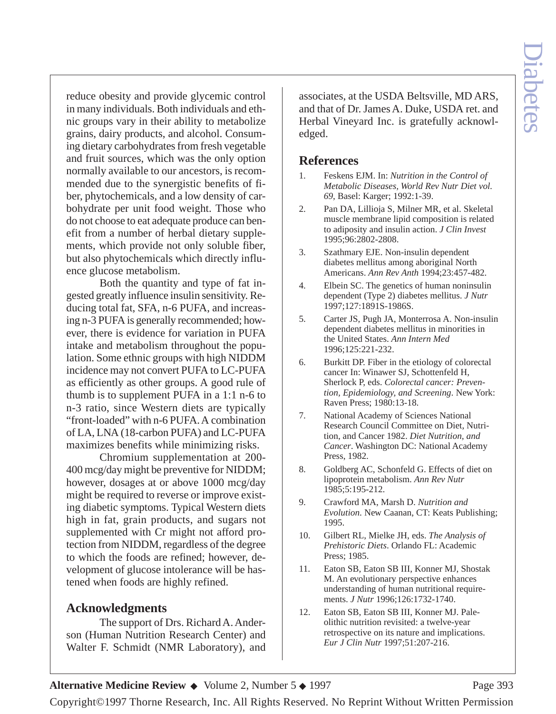reduce obesity and provide glycemic control in many individuals. Both individuals and ethnic groups vary in their ability to metabolize grains, dairy products, and alcohol. Consuming dietary carbohydrates from fresh vegetable and fruit sources, which was the only option normally available to our ancestors, is recommended due to the synergistic benefits of fiber, phytochemicals, and a low density of carbohydrate per unit food weight. Those who do not choose to eat adequate produce can benefit from a number of herbal dietary supplements, which provide not only soluble fiber, but also phytochemicals which directly influence glucose metabolism.

Both the quantity and type of fat ingested greatly influence insulin sensitivity. Reducing total fat, SFA, n-6 PUFA, and increasing n-3 PUFA is generally recommended; however, there is evidence for variation in PUFA intake and metabolism throughout the population. Some ethnic groups with high NIDDM incidence may not convert PUFA to LC-PUFA as efficiently as other groups. A good rule of thumb is to supplement PUFA in a 1:1 n-6 to n-3 ratio, since Western diets are typically "front-loaded" with n-6 PUFA. A combination of LA, LNA (18-carbon PUFA) and LC-PUFA maximizes benefits while minimizing risks.

Chromium supplementation at 200- 400 mcg/day might be preventive for NIDDM; however, dosages at or above 1000 mcg/day might be required to reverse or improve existing diabetic symptoms. Typical Western diets high in fat, grain products, and sugars not supplemented with Cr might not afford protection from NIDDM, regardless of the degree to which the foods are refined; however, development of glucose intolerance will be hastened when foods are highly refined.

#### **Acknowledgments**

The support of Drs. Richard A. Anderson (Human Nutrition Research Center) and Walter F. Schmidt (NMR Laboratory), and

associates, at the USDA Beltsville, MD ARS, and that of Dr. James A. Duke, USDA ret. and Herbal Vineyard Inc. is gratefully acknowledged.

### **References**

- 1. Feskens EJM. In: *Nutrition in the Control of Metabolic Diseases, World Rev Nutr Diet vol. 69*, Basel: Karger; 1992:1-39.
- 2. Pan DA, Lillioja S, Milner MR, et al. Skeletal muscle membrane lipid composition is related to adiposity and insulin action. *J Clin Invest* 1995;96:2802-2808.
- 3. Szathmary EJE. Non-insulin dependent diabetes mellitus among aboriginal North Americans. *Ann Rev Anth* 1994;23:457-482.
- 4. Elbein SC. The genetics of human noninsulin dependent (Type 2) diabetes mellitus. *J Nutr* 1997;127:1891S-1986S.
- 5. Carter JS, Pugh JA, Monterrosa A. Non-insulin dependent diabetes mellitus in minorities in the United States. *Ann Intern Med* 1996;125:221-232.
- 6. Burkitt DP. Fiber in the etiology of colorectal cancer In: Winawer SJ, Schottenfeld H, Sherlock P, eds. *Colorectal cancer: Prevention, Epidemiology, and Screening*. New York: Raven Press; 1980:13-18.
- 7. National Academy of Sciences National Research Council Committee on Diet, Nutrition, and Cancer 1982. *Diet Nutrition, and Cancer*. Washington DC: National Academy Press, 1982.
- 8. Goldberg AC, Schonfeld G. Effects of diet on lipoprotein metabolism. *Ann Rev Nutr* 1985;5:195-212.
- 9. Crawford MA, Marsh D. *Nutrition and Evolution*. New Caanan, CT: Keats Publishing; 1995.
- 10. Gilbert RL, Mielke JH, eds. *The Analysis of Prehistoric Diets*. Orlando FL: Academic Press; 1985.
- 11. Eaton SB, Eaton SB III, Konner MJ, Shostak M. An evolutionary perspective enhances understanding of human nutritional requirements. *J Nutr* 1996;126:1732-1740.
- 12. Eaton SB, Eaton SB III, Konner MJ. Paleolithic nutrition revisited: a twelve-year retrospective on its nature and implications. *Eur J Clin Nutr* 1997;51:207-216.

**Alternative Medicine Review ◆** Volume 2, Number 5 ◆ 1997 Page 393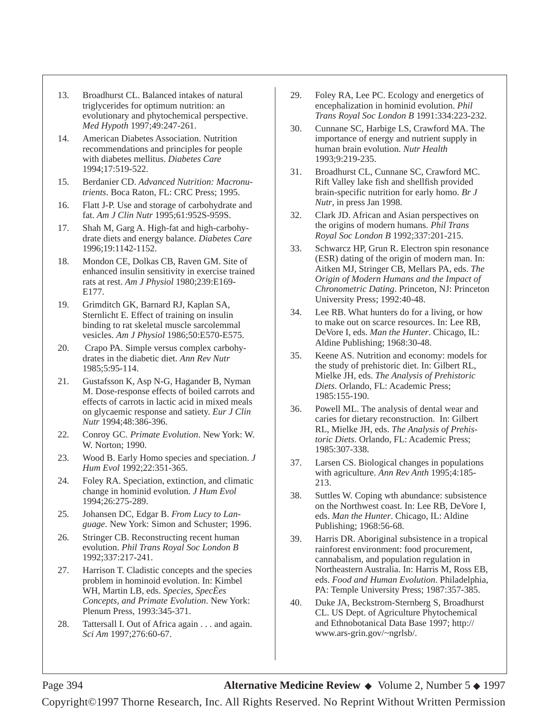- 13. Broadhurst CL. Balanced intakes of natural triglycerides for optimum nutrition: an evolutionary and phytochemical perspective. *Med Hypoth* 1997;49:247-261.
- 14. American Diabetes Association. Nutrition recommendations and principles for people with diabetes mellitus. *Diabetes Care* 1994;17:519-522.
- 15. Berdanier CD. *Advanced Nutrition: Macronutrients*. Boca Raton, FL: CRC Press; 1995.
- 16. Flatt J-P. Use and storage of carbohydrate and fat. *Am J Clin Nutr* 1995;61:952S-959S.
- 17. Shah M, Garg A. High-fat and high-carbohydrate diets and energy balance. *Diabetes Care* 1996;19:1142-1152.
- 18. Mondon CE, Dolkas CB, Raven GM. Site of enhanced insulin sensitivity in exercise trained rats at rest. *Am J Physiol* 1980;239:E169- E177.
- 19. Grimditch GK, Barnard RJ, Kaplan SA, Sternlicht E. Effect of training on insulin binding to rat skeletal muscle sarcolemmal vesicles. *Am J Physiol* 1986;50:E570-E575.
- 20. Crapo PA. Simple versus complex carbohydrates in the diabetic diet. *Ann Rev Nutr* 1985;5:95-114.
- 21. Gustafsson K, Asp N-G, Hagander B, Nyman M. Dose-response effects of boiled carrots and effects of carrots in lactic acid in mixed meals on glycaemic response and satiety. *Eur J Clin Nutr* 1994;48:386-396.
- 22. Conroy GC. *Primate Evolution*. New York: W. W. Norton; 1990.
- 23. Wood B. Early Homo species and speciation. *J Hum Evol* 1992;22:351-365.
- 24. Foley RA. Speciation, extinction, and climatic change in hominid evolution. *J Hum Evol* 1994;26:275-289.
- 25. Johansen DC, Edgar B. *From Lucy to Language*. New York: Simon and Schuster; 1996.
- 26. Stringer CB. Reconstructing recent human evolution. *Phil Trans Royal Soc London B* 1992;337:217-241.
- 27. Harrison T. Cladistic concepts and the species problem in hominoid evolution. In: Kimbel WH, Martin LB, eds. *Species, SpecÈes Concepts, and Primate Evolution*. New York: Plenum Press, 1993:345-371.
- 28. Tattersall I. Out of Africa again . . . and again. *Sci Am* 1997;276:60-67.
- 29. Foley RA, Lee PC. Ecology and energetics of encephalization in hominid evolution. *Phil Trans Royal Soc London B* 1991:334:223-232.
- 30. Cunnane SC, Harbige LS, Crawford MA. The importance of energy and nutrient supply in human brain evolution. *Nutr Health* 1993;9:219-235.
- 31. Broadhurst CL, Cunnane SC, Crawford MC. Rift Valley lake fish and shellfish provided brain-specific nutrition for early homo. *Br J Nutr*, in press Jan 1998.
- 32. Clark JD. African and Asian perspectives on the origins of modern humans. *Phil Trans Royal Soc London B* 1992;337:201-215.
- 33. Schwarcz HP, Grun R. Electron spin resonance (ESR) dating of the origin of modern man. In: Aitken MJ, Stringer CB, Mellars PA, eds. *The Origin of Modern Humans and the Impact of Chronometric Dating*. Princeton, NJ: Princeton University Press; 1992:40-48.
- 34. Lee RB. What hunters do for a living, or how to make out on scarce resources. In: Lee RB, DeVore I, eds. *Man the Hunter*. Chicago, IL: Aldine Publishing; 1968:30-48.
- 35. Keene AS. Nutrition and economy: models for the study of prehistoric diet. In: Gilbert RL, Mielke JH, eds. *The Analysis of Prehistoric Diets*. Orlando, FL: Academic Press; 1985:155-190.
- 36. Powell ML. The analysis of dental wear and caries for dietary reconstruction. In: Gilbert RL, Mielke JH, eds. *The Analysis of Prehistoric Diets*. Orlando, FL: Academic Press; 1985:307-338.
- 37. Larsen CS. Biological changes in populations with agriculture. *Ann Rev Anth* 1995;4:185- 213.
- 38. Suttles W. Coping wth abundance: subsistence on the Northwest coast. In: Lee RB, DeVore I, eds. *Man the Hunter*. Chicago, IL: Aldine Publishing; 1968:56-68.
- 39. Harris DR. Aboriginal subsistence in a tropical rainforest environment: food procurement, cannabalism, and population regulation in Northeastern Australia. In: Harris M, Ross EB, eds. *Food and Human Evolution*. Philadelphia, PA: Temple University Press; 1987:357-385.
- 40. Duke JA, Beckstrom-Sternberg S, Broadhurst CL. US Dept. of Agriculture Phytochemical and Ethnobotanical Data Base 1997; http:// www.ars-grin.gov/~ngrlsb/.

Page 394 **Alternative Medicine Review** ◆ Volume 2, Number 5 ◆ 1997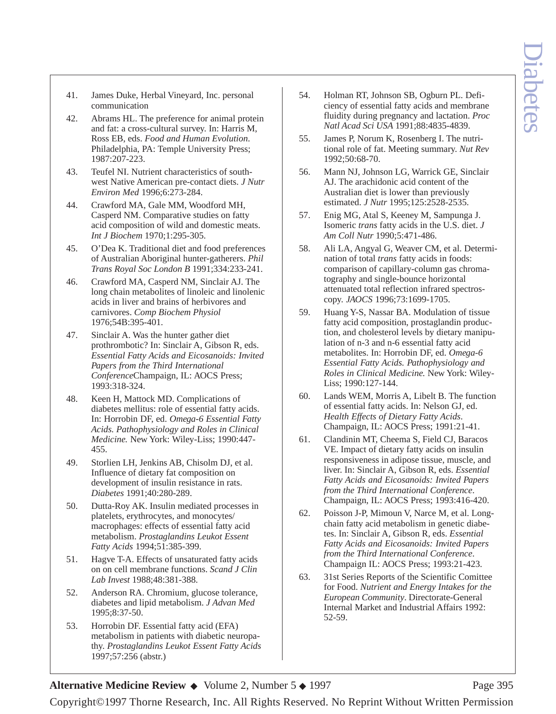- 41. James Duke, Herbal Vineyard, Inc. personal communication
- 42. Abrams HL. The preference for animal protein and fat: a cross-cultural survey. In: Harris M, Ross EB, eds. *Food and Human Evolution*. Philadelphia, PA: Temple University Press; 1987:207-223.
- 43. Teufel NI. Nutrient characteristics of southwest Native American pre-contact diets. *J Nutr Environ Med* 1996;6:273-284.
- 44. Crawford MA, Gale MM, Woodford MH, Casperd NM. Comparative studies on fatty acid composition of wild and domestic meats. *Int J Biochem* 1970;1:295-305.
- 45. O'Dea K. Traditional diet and food preferences of Australian Aboriginal hunter-gatherers. *Phil Trans Royal Soc London B* 1991;334:233-241.
- 46. Crawford MA, Casperd NM, Sinclair AJ. The long chain metabolites of linoleic and linolenic acids in liver and brains of herbivores and carnivores. *Comp Biochem Physiol* 1976;54B:395-401.
- 47. Sinclair A. Was the hunter gather diet prothrombotic? In: Sinclair A, Gibson R, eds. *Essential Fatty Acids and Eicosanoids: Invited Papers from the Third International Conference*Champaign, IL: AOCS Press; 1993:318-324.
- 48. Keen H, Mattock MD. Complications of diabetes mellitus: role of essential fatty acids. In: Horrobin DF, ed. *Omega-6 Essential Fatty Acids. Pathophysiology and Roles in Clinical Medicine.* New York: Wiley-Liss; 1990:447- 455.
- 49. Storlien LH, Jenkins AB, Chisolm DJ, et al. Influence of dietary fat composition on development of insulin resistance in rats. *Diabetes* 1991;40:280-289.
- 50. Dutta-Roy AK. Insulin mediated processes in platelets, erythrocytes, and monocytes/ macrophages: effects of essential fatty acid metabolism. *Prostaglandins Leukot Essent Fatty Acids* 1994;51:385-399.
- 51. Hagve T-A. Effects of unsaturated fatty acids on on cell membrane functions. *Scand J Clin Lab Invest* 1988;48:381-388.
- 52. Anderson RA. Chromium, glucose tolerance, diabetes and lipid metabolism. *J Advan Med* 1995;8:37-50.
- 53. Horrobin DF. Essential fatty acid (EFA) metabolism in patients with diabetic neuropathy. *Prostaglandins Leukot Essent Fatty Acids* 1997;57:256 (abstr.)
- 54. Holman RT, Johnson SB, Ogburn PL. Deficiency of essential fatty acids and membrane fluidity during pregnancy and lactation. *Proc Natl Acad Sci USA* 1991;88:4835-4839.
- 55. James P, Norum K, Rosenberg I. The nutritional role of fat. Meeting summary. *Nut Rev* 1992;50:68-70.
- 56. Mann NJ, Johnson LG, Warrick GE, Sinclair AJ. The arachidonic acid content of the Australian diet is lower than previously estimated. *J Nutr* 1995;125:2528-2535.
- 57. Enig MG, Atal S, Keeney M, Sampunga J. Isomeric *trans* fatty acids in the U.S. diet. *J Am Coll Nutr* 1990;5:471-486.
- 58. Ali LA, Angyal G, Weaver CM, et al. Determination of total *trans* fatty acids in foods: comparison of capillary-column gas chromatography and single-bounce horizontal attenuated total reflection infrared spectroscopy. *JAOCS* 1996;73:1699-1705.
- 59. Huang Y-S, Nassar BA. Modulation of tissue fatty acid composition, prostaglandin production, and cholesterol levels by dietary manipulation of n-3 and n-6 essential fatty acid metabolites. In: Horrobin DF, ed. *Omega-6 Essential Fatty Acids. Pathophysiology and Roles in Clinical Medicine.* New York: Wiley-Liss; 1990:127-144.
- 60. Lands WEM, Morris A, Libelt B. The function of essential fatty acids. In: Nelson GJ, ed. *Health Effects of Dietary Fatty Acids*. Champaign, IL: AOCS Press; 1991:21-41.
- 61. Clandinin MT, Cheema S, Field CJ, Baracos VE. Impact of dietary fatty acids on insulin responsiveness in adipose tissue, muscle, and liver. In: Sinclair A, Gibson R, eds. *Essential Fatty Acids and Eicosanoids: Invited Papers from the Third International Conference*. Champaign, IL: AOCS Press; 1993:416-420.
- 62. Poisson J-P, Mimoun V, Narce M, et al. Longchain fatty acid metabolism in genetic diabetes. In: Sinclair A, Gibson R, eds. *Essential Fatty Acids and Eicosanoids: Invited Papers from the Third International Conference*. Champaign IL: AOCS Press; 1993:21-423.
- 63. 31st Series Reports of the Scientific Comittee for Food. *Nutrient and Energy Intakes for the European Community*. Directorate-General Internal Market and Industrial Affairs 1992: 52-59.

#### Alternative Medicine Review ◆ Volume 2, Number 5 ◆ 1997 Page 395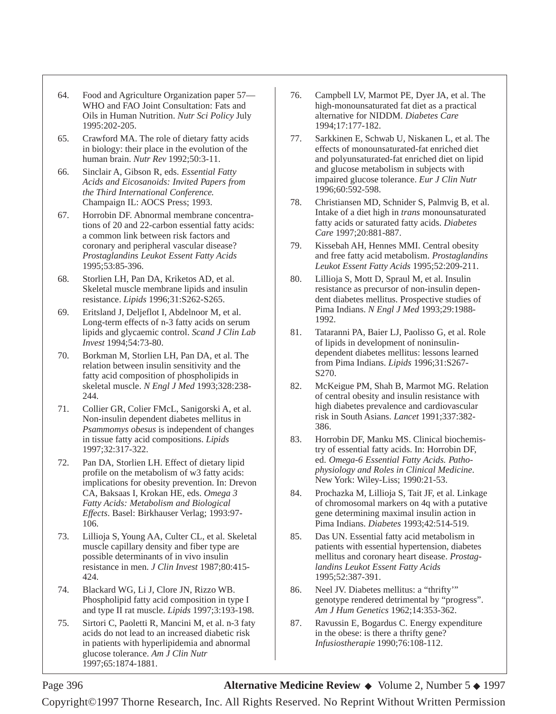- 64. Food and Agriculture Organization paper 57— WHO and FAO Joint Consultation: Fats and Oils in Human Nutrition. *Nutr Sci Policy* July 1995:202-205.
- 65. Crawford MA. The role of dietary fatty acids in biology: their place in the evolution of the human brain. *Nutr Rev* 1992;50:3-11.
- 66. Sinclair A, Gibson R, eds. *Essential Fatty Acids and Eicosanoids: Invited Papers from the Third International Conference.* Champaign IL: AOCS Press; 1993.
- 67. Horrobin DF. Abnormal membrane concentrations of 20 and 22-carbon essential fatty acids: a common link between risk factors and coronary and peripheral vascular disease? *Prostaglandins Leukot Essent Fatty Acids* 1995;53:85-396.
- 68. Storlien LH, Pan DA, Kriketos AD, et al. Skeletal muscle membrane lipids and insulin resistance. *Lipids* 1996;31:S262-S265.
- 69. Eritsland J, Deljeflot I, Abdelnoor M, et al. Long-term effects of n-3 fatty acids on serum lipids and glycaemic control. *Scand J Clin Lab Invest* 1994;54:73-80.
- 70. Borkman M, Storlien LH, Pan DA, et al. The relation between insulin sensitivity and the fatty acid composition of phospholipids in skeletal muscle. *N Engl J Med* 1993;328:238- 244.
- 71. Collier GR, Colier FMcL, Sanigorski A, et al. Non-insulin dependent diabetes mellitus in *Psammomys obesus* is independent of changes in tissue fatty acid compositions. *Lipids* 1997;32:317-322.
- 72. Pan DA, Storlien LH. Effect of dietary lipid profile on the metabolism of w3 fatty acids: implications for obesity prevention. In: Drevon CA, Baksaas I, Krokan HE, eds. *Omega 3 Fatty Acids: Metabolism and Biological Effects*. Basel: Birkhauser Verlag; 1993:97- 106.
- 73. Lillioja S, Young AA, Culter CL, et al. Skeletal muscle capillary density and fiber type are possible determinants of in vivo insulin resistance in men. *J Clin Invest* 1987;80:415- 424.
- 74. Blackard WG, Li J, Clore JN, Rizzo WB. Phospholipid fatty acid composition in type I and type II rat muscle. *Lipids* 1997;3:193-198.
- 75. Sirtori C, Paoletti R, Mancini M, et al. n-3 faty acids do not lead to an increased diabetic risk in patients with hyperlipidemia and abnormal glucose tolerance. *Am J Clin Nutr* 1997;65:1874-1881.
- 76. Campbell LV, Marmot PE, Dyer JA, et al. The high-monounsaturated fat diet as a practical alternative for NIDDM. *Diabetes Care* 1994;17:177-182.
- 77. Sarkkinen E, Schwab U, Niskanen L, et al. The effects of monounsaturated-fat enriched diet and polyunsaturated-fat enriched diet on lipid and glucose metabolism in subjects with impaired glucose tolerance. *Eur J Clin Nutr* 1996;60:592-598.
- 78. Christiansen MD, Schnider S, Palmvig B, et al. Intake of a diet high in *trans* monounsaturated fatty acids or saturated fatty acids. *Diabetes Care* 1997;20:881-887.
- 79. Kissebah AH, Hennes MMI. Central obesity and free fatty acid metabolism. *Prostaglandins Leukot Essent Fatty Acids* 1995;52:209-211.
- 80. Lillioja S, Mott D, Spraul M, et al. Insulin resistance as precursor of non-insulin dependent diabetes mellitus. Prospective studies of Pima Indians. *N Engl J Med* 1993;29:1988- 1992.
- 81. Tataranni PA, Baier LJ, Paolisso G, et al. Role of lipids in development of noninsulindependent diabetes mellitus: lessons learned from Pima Indians. *Lipids* 1996;31:S267- S270.
- 82. McKeigue PM, Shah B, Marmot MG. Relation of central obesity and insulin resistance with high diabetes prevalence and cardiovascular risk in South Asians. *Lancet* 1991;337:382- 386.
- 83. Horrobin DF, Manku MS. Clinical biochemistry of essential fatty acids. In: Horrobin DF, ed. *Omega-6 Essential Fatty Acids. Pathophysiology and Roles in Clinical Medicine*. New York: Wiley-Liss; 1990:21-53.
- 84. Prochazka M, Lillioja S, Tait JF, et al. Linkage of chromosomal markers on 4q with a putative gene determining maximal insulin action in Pima Indians. *Diabetes* 1993;42:514-519.
- 85. Das UN. Essential fatty acid metabolism in patients with essential hypertension, diabetes mellitus and coronary heart disease. *Prostaglandins Leukot Essent Fatty Acids* 1995;52:387-391.
- 86. Neel JV. Diabetes mellitus: a "thrifty'" genotype rendered detrimental by "progress". *Am J Hum Genetics* 1962;14:353-362.
- 87. Ravussin E, Bogardus C. Energy expenditure in the obese: is there a thrifty gene? *Infusiostherapie* 1990;76:108-112.

#### Page 396 **Alternative Medicine Review** ◆ Volume 2, Number 5 ◆ 1997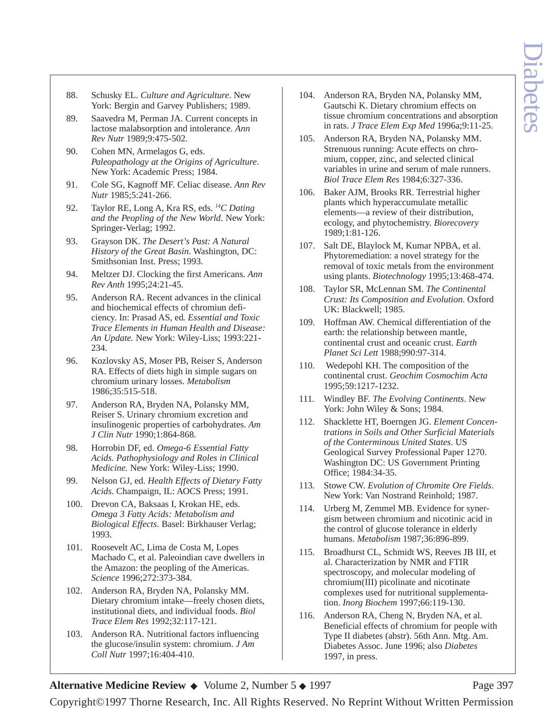- 88. Schusky EL. *Culture and Agriculture*. New York: Bergin and Garvey Publishers; 1989.
- 89. Saavedra M, Perman JA. Current concepts in lactose malabsorption and intolerance. *Ann Rev Nutr* 1989;9:475-502.
- 90. Cohen MN, Armelagos G, eds. *Paleopathology at the Origins of Agriculture*. New York: Academic Press; 1984.
- 91. Cole SG, Kagnoff MF. Celiac disease. *Ann Rev Nutr* 1985;5:241-266.
- 92. Taylor RE, Long A, Kra RS, eds. *14C Dating and the Peopling of the New World*. New York: Springer-Verlag; 1992.
- 93. Grayson DK. *The Desert's Past: A Natural History of the Great Basin*. Washington, DC: Smithsonian Inst. Press; 1993.
- 94. Meltzer DJ. Clocking the first Americans. *Ann Rev Anth* 1995;24:21-45.
- 95. Anderson RA. Recent advances in the clinical and biochemical effects of chromiun deficiency. In: Prasad AS, ed*. Essential and Toxic Trace Elements in Human Health and Disease: An Update.* New York: Wiley-Liss; 1993:221- 234.
- 96. Kozlovsky AS, Moser PB, Reiser S, Anderson RA. Effects of diets high in simple sugars on chromium urinary losses. *Metabolism* 1986;35:515-518.
- 97. Anderson RA, Bryden NA, Polansky MM, Reiser S. Urinary chromium excretion and insulinogenic properties of carbohydrates. *Am J Clin Nutr* 1990;1:864-868.
- 98. Horrobin DF, ed. *Omega-6 Essential Fatty Acids. Pathophysiology and Roles in Clinical Medicine.* New York: Wiley-Liss; 1990.
- 99. Nelson GJ, ed. *Health Effects of Dietary Fatty Acids*. Champaign, IL: AOCS Press; 1991.
- 100. Drevon CA, Baksaas I, Krokan HE, eds. *Omega 3 Fatty Acids: Metabolism and Biological Effects*. Basel: Birkhauser Verlag; 1993.
- 101. Roosevelt AC, Lima de Costa M, Lopes Machado C, et al. Paleoindian cave dwellers in the Amazon: the peopling of the Americas. *Science* 1996;272:373-384.
- 102. Anderson RA, Bryden NA, Polansky MM. Dietary chromium intake—freely chosen diets, institutional diets, and individual foods. *Biol Trace Elem Res* 1992;32:117-121.
- 103. Anderson RA. Nutritional factors influencing the glucose/insulin system: chromium. *J Am Coll Nutr* 1997;16:404-410.
- 104. Anderson RA, Bryden NA, Polansky MM, Gautschi K. Dietary chromium effects on tissue chromium concentrations and absorption in rats. *J Trace Elem Exp Med* 1996a;9:11-25.
- 105. Anderson RA, Bryden NA, Polansky MM. Strenuous running: Acute effects on chromium, copper, zinc, and selected clinical variables in urine and serum of male runners. *Biol Trace Elem Res* 1984;6:327-336.
- 106. Baker AJM, Brooks RR. Terrestrial higher plants which hyperaccumulate metallic elements—a review of their distribution, ecology, and phytochemistry. *Biorecovery* 1989;1:81-126.
- 107. Salt DE, Blaylock M, Kumar NPBA, et al. Phytoremediation: a novel strategy for the removal of toxic metals from the environment using plants. *Biotechnology* 1995;13:468-474.
- 108. Taylor SR, McLennan SM. *The Continental Crust: Its Composition and Evolution*. Oxford UK: Blackwell; 1985.
- 109. Hoffman AW. Chemical differentiation of the earth: the relationship between mantle, continental crust and oceanic crust. *Earth Planet Sci Lett* 1988;990:97-314.
- 110. Wedepohl KH. The composition of the continental crust. *Geochim Cosmochim Acta* 1995;59:1217-1232.
- 111. Windley BF. *The Evolving Continents*. New York: John Wiley & Sons; 1984.
- 112. Shacklette HT, Boerngen JG. *Element Concentrations in Soils and Other Surficial Materials of the Conterminous United States*. US Geological Survey Professional Paper 1270. Washington DC: US Government Printing Office; 1984:34-35.
- 113. Stowe CW. *Evolution of Chromite Ore Fields*. New York: Van Nostrand Reinhold; 1987.
- 114. Urberg M, Zemmel MB. Evidence for synergism between chromium and nicotinic acid in the control of glucose tolerance in elderly humans. *Metabolism* 1987;36:896-899.
- 115. Broadhurst CL, Schmidt WS, Reeves JB III, et al. Characterization by NMR and FTIR spectroscopy, and molecular modeling of chromium(III) picolinate and nicotinate complexes used for nutritional supplementation. *Inorg Biochem* 1997;66:119-130.
- 116. Anderson RA, Cheng N, Bryden NA, et al. Beneficial effects of chromium for people with Type II diabetes (abstr). 56th Ann. Mtg. Am. Diabetes Assoc. June 1996; also *Diabetes* 1997, in press.

Alternative Medicine Review ◆ Volume 2, Number 5 ◆ 1997 Page 397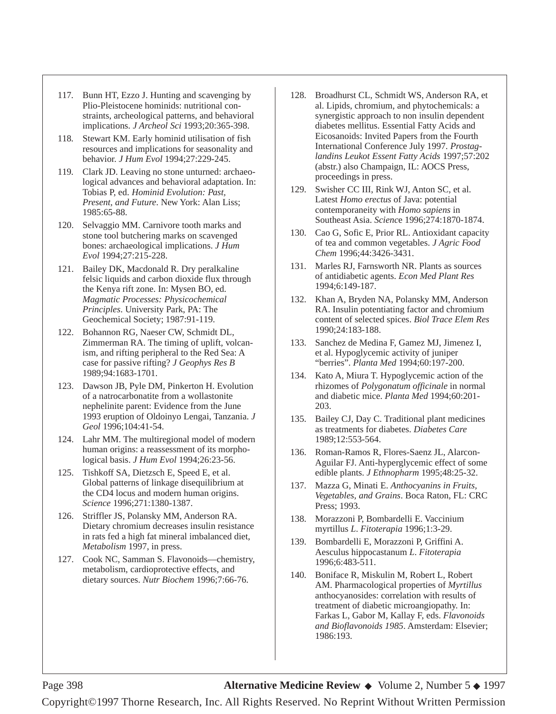- 117. Bunn HT, Ezzo J. Hunting and scavenging by Plio-Pleistocene hominids: nutritional constraints, archeological patterns, and behavioral implications. *J Archeol Sci* 1993;20:365-398.
- 118. Stewart KM. Early hominid utilisation of fish resources and implications for seasonality and behavior. *J Hum Evol* 1994;27:229-245.
- 119. Clark JD. Leaving no stone unturned: archaeological advances and behavioral adaptation. In: Tobias P, ed. *Hominid Evolution: Past, Present, and Future*. New York: Alan Liss; 1985:65-88.
- 120. Selvaggio MM. Carnivore tooth marks and stone tool butchering marks on scavenged bones: archaeological implications. *J Hum Evol* 1994;27:215-228.
- 121. Bailey DK, Macdonald R. Dry peralkaline felsic liquids and carbon dioxide flux through the Kenya rift zone. In: Mysen BO, ed. *Magmatic Processes: Physicochemical Principles*. University Park, PA: The Geochemical Society; 1987:91-119.
- 122. Bohannon RG, Naeser CW, Schmidt DL, Zimmerman RA. The timing of uplift, volcanism, and rifting peripheral to the Red Sea: A case for passive rifting? *J Geophys Res B* 1989;94:1683-1701.
- 123. Dawson JB, Pyle DM, Pinkerton H. Evolution of a natrocarbonatite from a wollastonite nephelinite parent: Evidence from the June 1993 eruption of Oldoinyo Lengai, Tanzania. *J Geol* 1996;104:41-54.
- 124. Lahr MM. The multiregional model of modern human origins: a reassessment of its morphological basis. *J Hum Evol* 1994;26:23-56.
- 125. Tishkoff SA, Dietzsch E, Speed E, et al. Global patterns of linkage disequilibrium at the CD4 locus and modern human origins. *Science* 1996;271:1380-1387.
- 126. Striffler JS, Polansky MM, Anderson RA. Dietary chromium decreases insulin resistance in rats fed a high fat mineral imbalanced diet, *Metabolism* 1997, in press.
- 127. Cook NC, Samman S. Flavonoids—chemistry, metabolism, cardioprotective effects, and dietary sources. *Nutr Biochem* 1996;7:66-76.
- 128. Broadhurst CL, Schmidt WS, Anderson RA, et al. Lipids, chromium, and phytochemicals: a synergistic approach to non insulin dependent diabetes mellitus. Essential Fatty Acids and Eicosanoids: Invited Papers from the Fourth International Conference July 1997. *Prostaglandins Leukot Essent Fatty Acids* 1997;57:202 (abstr.) also Champaign, IL: AOCS Press, proceedings in press.
- 129. Swisher CC III, Rink WJ, Anton SC, et al. Latest *Homo erectus* of Java: potential contemporaneity with *Homo sapiens* in Southeast Asia. *Scienc*e 1996;274:1870-1874.
- 130. Cao G, Sofic E, Prior RL. Antioxidant capacity of tea and common vegetables. *J Agric Food Chem* 1996;44:3426-3431.
- 131. Marles RJ, Farnsworth NR. Plants as sources of antidiabetic agents. *Econ Med Plant Res* 1994;6:149-187.
- 132. Khan A, Bryden NA, Polansky MM, Anderson RA. Insulin potentiating factor and chromium content of selected spices. *Biol Trace Elem Res* 1990;24:183-188.
- 133. Sanchez de Medina F, Gamez MJ, Jimenez I, et al. Hypoglycemic activity of juniper "berries". *Planta Med* 1994;60:197-200.
- 134. Kato A, Miura T. Hypoglycemic action of the rhizomes of *Polygonatum officinale* in normal and diabetic mice. *Planta Med* 1994;60:201- 203.
- 135. Bailey CJ, Day C. Traditional plant medicines as treatments for diabetes. *Diabetes Care* 1989;12:553-564.
- 136. Roman-Ramos R, Flores-Saenz JL, Alarcon-Aguilar FJ. Anti-hyperglycemic effect of some edible plants. *J Ethnopharm* 1995;48:25-32.
- 137. Mazza G, Minati E. *Anthocyanins in Fruits, Vegetables, and Grains*. Boca Raton, FL: CRC Press; 1993.
- 138. Morazzoni P, Bombardelli E. Vaccinium myrtillus *L*. *Fitoterapia* 1996;1:3-29.
- 139. Bombardelli E, Morazzoni P, Griffini A. Aesculus hippocastanum *L*. *Fitoterapia* 1996;6:483-511.
- 140. Boniface R, Miskulin M, Robert L, Robert AM. Pharmacological properties of *Myrtillus* anthocyanosides: correlation with results of treatment of diabetic microangiopathy. In: Farkas L, Gabor M, Kallay F, eds. *Flavonoids and Bioflavonoids 1985*. Amsterdam: Elsevier; 1986:193.

Page 398 **Alternative Medicine Review** ◆ Volume 2, Number 5 ◆ 1997